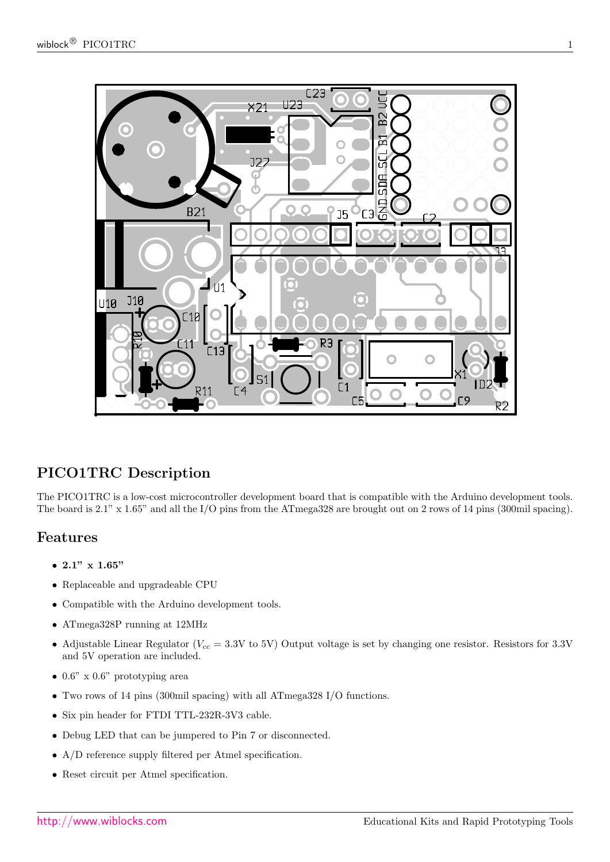

# PICO1TRC Description

The PICO1TRC is a low-cost microcontroller development board that is compatible with the Arduino development tools. The board is 2.1" x 1.65" and all the I/O pins from the ATmega328 are brought out on 2 rows of 14 pins (300mil spacing).

# Features

- 2.1"  $\times$  1.65"
- Replaceable and upgradeable CPU
- Compatible with the Arduino development tools.
- ATmega328P running at 12MHz
- Adjustable Linear Regulator ( $V_{cc} = 3.3V$  to 5V) Output voltage is set by changing one resistor. Resistors for 3.3V and 5V operation are included.
- $0.6$ " x  $0.6$ " prototyping area
- Two rows of 14 pins (300mil spacing) with all ATmega328 I/O functions.
- $\bullet\,$  Six pin header for FTDI TTL-232R-3V3 cable.
- Debug LED that can be jumpered to Pin 7 or disconnected.
- A/D reference supply filtered per Atmel specification.
- Reset circuit per Atmel specification.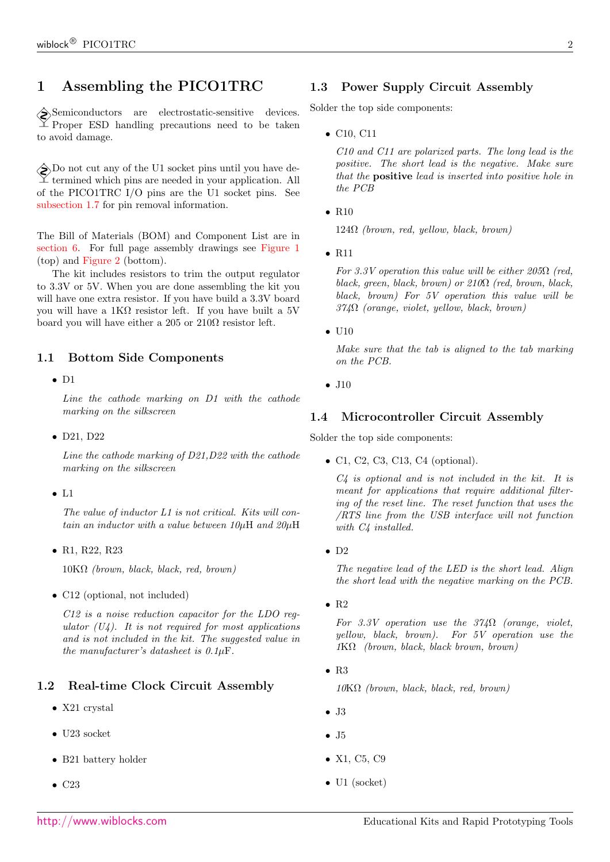# 1 Assembling the PICO1TRC

Semiconductors are electrostatic-sensitive devices.  $\mathbb{Z}$  Proper ESD handling precautions need to be taken to avoid damage.

 $\bigotimes$  Do not cut any of the U1 socket pins until you have de- $\perp$  termined which pins are needed in your application. All of the PICO1TRC I/O pins are the U1 socket pins. See [subsection 1.7](#page-2-0) for pin removal information.

The Bill of Materials (BOM) and Component List are in [section 6.](#page-6-0) For full page assembly drawings see [Figure 1](#page-8-0) (top) and [Figure 2](#page-9-0) (bottom).

The kit includes resistors to trim the output regulator to 3.3V or 5V. When you are done assembling the kit you will have one extra resistor. If you have build a 3.3V board you will have a 1KΩ resistor left. If you have built a 5V board you will have either a 205 or  $210\Omega$  resistor left.

### 1.1 Bottom Side Components

• D1

Line the cathode marking on D1 with the cathode marking on the silkscreen

• D21, D22

Line the cathode marking of D21,D22 with the cathode marking on the silkscreen

• L1

The value of inductor L1 is not critical. Kits will contain an inductor with a value between  $10\mu$ H and  $20\mu$ H

• R1, R22, R23

 $10K\Omega$  (brown, black, black, red, brown)

• C12 (optional, not included)

C12 is a noise reduction capacitor for the LDO regulator  $(U_4)$ . It is not required for most applications and is not included in the kit. The suggested value in the manufacturer's datasheet is  $0.1 \mu F$ .

### 1.2 Real-time Clock Circuit Assembly

- X21 crystal
- U23 socket
- B21 battery holder
- C<sub>23</sub>

# 1.3 Power Supply Circuit Assembly

Solder the top side components:

• C10, C11

C10 and C11 are polarized parts. The long lead is the positive. The short lead is the negative. Make sure that the positive lead is inserted into positive hole in the PCB

 $\bullet$  R<sub>10</sub>

 $124\Omega$  (brown, red, yellow, black, brown)

• R11

For 3.3V operation this value will be either  $205\Omega$  (red, black, green, black, brown) or  $210\Omega$  (red, brown, black, black, brown) For 5V operation this value will be  $374\Omega$  (orange, violet, yellow, black, brown)

 $\bullet$  U10

Make sure that the tab is aligned to the tab marking on the PCB.

• J10

### 1.4 Microcontroller Circuit Assembly

Solder the top side components:

• C1, C2, C3, C13, C4 (optional).

 $C_4$  is optional and is not included in the kit. It is meant for applications that require additional filtering of the reset line. The reset function that uses the /RTS line from the USB interface will not function with C4 installed.

 $\bullet$  D<sub>2</sub>

The negative lead of the LED is the short lead. Align the short lead with the negative marking on the PCB.

 $\bullet$  R<sub>2</sub>

For 3.3V operation use the  $374\Omega$  (orange, violet, yellow, black, brown). For 5V operation use the  $1K\Omega$  (brown, black, black brown, brown)

• R3

 $10K\Omega$  (brown, black, black, red, brown)

- J3
- $\bullet$  J<sub>5</sub>
- X1, C5, C9
- U1 (socket)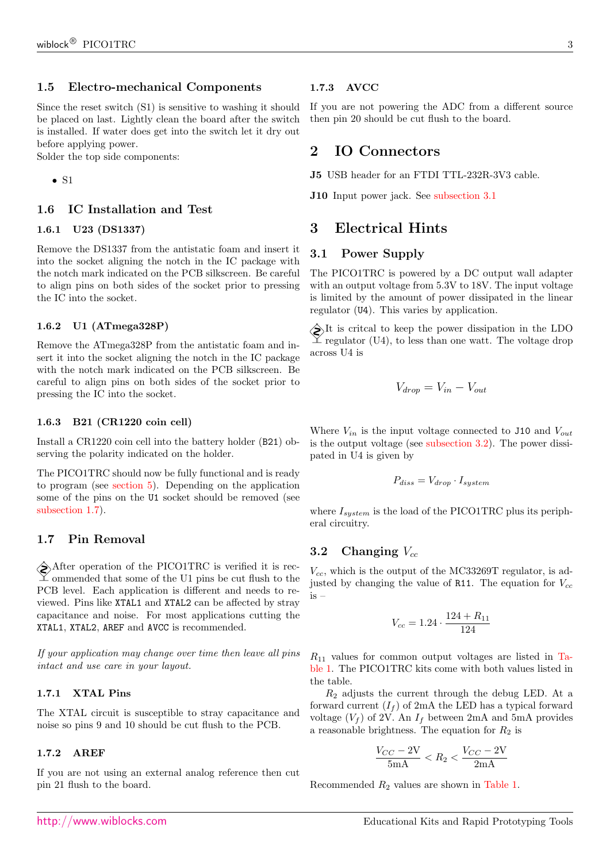### 1.5 Electro-mechanical Components

Since the reset switch (S1) is sensitive to washing it should be placed on last. Lightly clean the board after the switch is installed. If water does get into the switch let it dry out before applying power.

Solder the top side components:

• S1

### 1.6 IC Installation and Test

#### 1.6.1 U23 (DS1337)

Remove the DS1337 from the antistatic foam and insert it into the socket aligning the notch in the IC package with the notch mark indicated on the PCB silkscreen. Be careful to align pins on both sides of the socket prior to pressing the IC into the socket.

#### 1.6.2 U1 (ATmega328P)

Remove the ATmega328P from the antistatic foam and insert it into the socket aligning the notch in the IC package with the notch mark indicated on the PCB silkscreen. Be careful to align pins on both sides of the socket prior to pressing the IC into the socket.

#### 1.6.3 B21 (CR1220 coin cell)

Install a CR1220 coin cell into the battery holder (B21) observing the polarity indicated on the holder.

The PICO1TRC should now be fully functional and is ready to program (see [section 5\)](#page-4-0). Depending on the application some of the pins on the U1 socket should be removed (see [subsection 1.7\)](#page-2-0).

### <span id="page-2-0"></span>1.7 Pin Removal

After operation of the PICO1TRC is verified it is recommended that some of the U1 pins be cut flush to the PCB level. Each application is different and needs to reviewed. Pins like XTAL1 and XTAL2 can be affected by stray capacitance and noise. For most applications cutting the XTAL1, XTAL2, AREF and AVCC is recommended.

If your application may change over time then leave all pins intact and use care in your layout.

#### 1.7.1 XTAL Pins

The XTAL circuit is susceptible to stray capacitance and noise so pins 9 and 10 should be cut flush to the PCB.

### 1.7.2 AREF

If you are not using an external analog reference then cut pin 21 flush to the board.

#### 1.7.3 AVCC

If you are not powering the ADC from a different source then pin 20 should be cut flush to the board.

### 2 IO Connectors

J5 USB header for an FTDI TTL-232R-3V3 cable.

J10 Input power jack. See [subsection 3.1](#page-2-1)

### 3 Electrical Hints

### <span id="page-2-1"></span>3.1 Power Supply

The PICO1TRC is powered by a DC output wall adapter with an output voltage from 5.3V to 18V. The input voltage is limited by the amount of power dissipated in the linear regulator (U4). This varies by application.

 $\diamondsuit\!\!\!\!\!\!\times$  It is critcal to keep the power dissipation in the LDO  $\mathbb{\pm}$  regulator (U4), to less than one watt. The voltage drop across U4 is

$$
V_{drop} = V_{in} - V_{out}
$$

Where  $V_{in}$  is the input voltage connected to J10 and  $V_{out}$ is the output voltage (see [subsection 3.2\)](#page-2-2). The power dissipated in U4 is given by

$$
P_{diss} = V_{drop} \cdot I_{system}
$$

where  $I_{system}$  is the load of the PICO1TRC plus its peripheral circuitry.

### <span id="page-2-2"></span>3.2 Changing  $V_{cc}$

 $V_{cc}$ , which is the output of the MC33269T regulator, is adjusted by changing the value of R11. The equation for  $V_{cc}$ is –

$$
V_{cc} = 1.24 \cdot \frac{124 + R_{11}}{124}
$$

 $R_{11}$  values for common output voltages are listed in [Ta](#page-3-0)[ble 1.](#page-3-0) The PICO1TRC kits come with both values listed in the table.

 $R_2$  adjusts the current through the debug LED. At a forward current  $(I_f)$  of 2mA the LED has a typical forward voltage  $(V_f)$  of 2V. An  $I_f$  between 2mA and 5mA provides a reasonable brightness. The equation for  $R_2$  is

$$
\frac{V_{CC} - 2V}{5mA} < R_2 < \frac{V_{CC} - 2V}{2mA}
$$

Recommended  $R_2$  values are shown in [Table 1.](#page-3-0)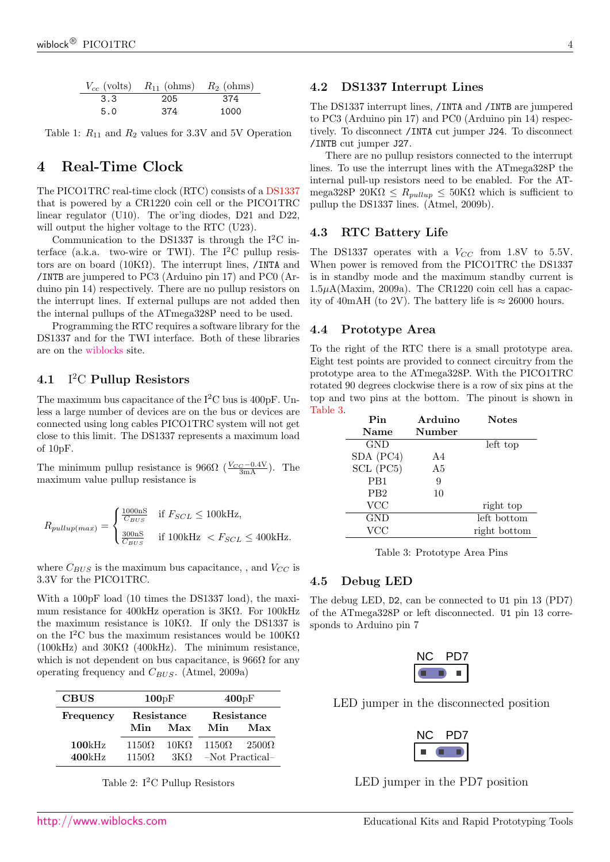|     | $V_{cc}$ (volts) $R_{11}$ (ohms) $R_2$ (ohms) |      |
|-----|-----------------------------------------------|------|
| 3.3 | 205                                           | 374  |
| 5.0 | 374                                           | 1000 |

<span id="page-3-0"></span>Table 1:  $R_{11}$  and  $R_2$  values for 3.3V and 5V Operation

# 4 Real-Time Clock

The PICO1TRC real-time clock (RTC) consists of a [DS1337](#page-12-0) that is powered by a CR1220 coin cell or the PICO1TRC linear regulator (U10). The or'ing diodes, D21 and D22, will output the higher voltage to the RTC (U23).

Communication to the DS1337 is through the  $I^2C$  interface (a.k.a. two-wire or TWI). The  $I^2C$  pullup resistors are on board ( $10K\Omega$ ). The interrupt lines, /INTA and /INTB are jumpered to PC3 (Arduino pin 17) and PC0 (Arduino pin 14) respectively. There are no pullup resistors on the interrupt lines. If external pullups are not added then the internal pullups of the ATmega328P need to be used.

Programming the RTC requires a software library for the DS1337 and for the TWI interface. Both of these libraries are on the [wiblocks](http://www.wiblocks.com) site.

#### 4.1 I <sup>2</sup>C Pullup Resistors

The maximum bus capacitance of the  $I^2C$  bus is 400pF. Unless a large number of devices are on the bus or devices are connected using long cables PICO1TRC system will not get close to this limit. The DS1337 represents a maximum load of 10pF.

The minimum pullup resistance is  $966\Omega \left( \frac{V_{CC} - 0.4 \text{V}}{3 \text{mA}} \right)$ . The maximum value pullup resistance is

$$
R_{pullup(max)} = \begin{cases} \frac{1000 \text{ nS}}{C_{BUS}} & \text{if } F_{SCL} \leq 100 \text{kHz}, \\ \frac{300 \text{ nS}}{C_{BUS}} & \text{if } 100 \text{kHz } < F_{SCL} \leq 400 \text{kHz}. \end{cases}
$$

where  $C_{BUS}$  is the maximum bus capacitance, , and  $V_{CC}$  is 3.3V for the PICO1TRC.

With a 100pF load (10 times the DS1337 load), the maximum resistance for 400kHz operation is 3KΩ. For 100kHz the maximum resistance is  $10K\Omega$ . If only the DS1337 is on the I<sup>2</sup>C bus the maximum resistances would be  $100K\Omega$  $(100kHz)$  and  $30K\Omega$  (400kHz). The minimum resistance, which is not dependent on bus capacitance, is  $966\Omega$  for any operating frequency and  $C_{BUS}$ . (Atmel, 2009a)

| <b>CBUS</b>      | 100pF                        |                           | 400pF                           |              |  |
|------------------|------------------------------|---------------------------|---------------------------------|--------------|--|
| Frequency        | Resistance<br>Min            | Max                       | Resistance<br>Min<br>Max        |              |  |
| 100kHz<br>400kHz | $1150\Omega$<br>$1150\Omega$ | $10K\Omega$<br>$3K\Omega$ | $1150\Omega$<br>-Not Practical- | $2500\Omega$ |  |

Table 2:  $I^2C$  Pullup Resistors

### 4.2 DS1337 Interrupt Lines

The DS1337 interrupt lines, /INTA and /INTB are jumpered to PC3 (Arduino pin 17) and PC0 (Arduino pin 14) respectively. To disconnect /INTA cut jumper J24. To disconnect /INTB cut jumper J27.

There are no pullup resistors connected to the interrupt lines. To use the interrupt lines with the ATmega328P the internal pull-up resistors need to be enabled. For the ATmega328P 20K $\Omega \leq R_{pullup} \leq 50$ K $\Omega$  which is sufficient to pullup the DS1337 lines. (Atmel, 2009b).

### 4.3 RTC Battery Life

The DS1337 operates with a  $V_{CC}$  from 1.8V to 5.5V. When power is removed from the PICO1TRC the DS1337 is in standby mode and the maximum standby current is  $1.5\mu\text{A}(\text{Maximum}, 2009a)$ . The CR1220 coin cell has a capacity of 40mAH (to 2V). The battery life is  $\approx 26000$  hours.

### 4.4 Prototype Area

To the right of the RTC there is a small prototype area. Eight test points are provided to connect circuitry from the prototype area to the ATmega328P. With the PICO1TRC rotated 90 degrees clockwise there is a row of six pins at the top and two pins at the bottom. The pinout is shown in [Table 3.](#page-3-1)

| Pin              | Arduino | <b>Notes</b> |
|------------------|---------|--------------|
| Name             | Number  |              |
| GND              |         | left top     |
| SDA (PC4)        | A4      |              |
| SCL (PC5)        | A5      |              |
| P <sub>B</sub> 1 | 9       |              |
| PB <sub>2</sub>  | 10      |              |
| <b>VCC</b>       |         | right top    |
| GND              |         | left bottom  |
| VCC              |         | right bottom |

<span id="page-3-1"></span>Table 3: Prototype Area Pins

### 4.5 Debug LED

The debug LED, D2, can be connected to U1 pin 13 (PD7) of the ATmega328P or left disconnected. U1 pin 13 corresponds to Arduino pin 7

LED jumper in the disconnected position



LED jumper in the PD7 position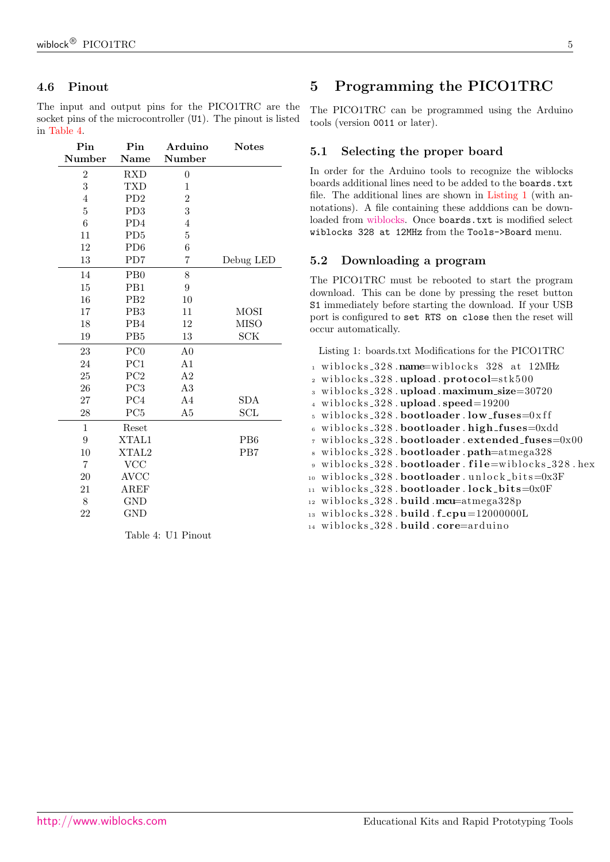### 4.6 Pinout

The input and output pins for the PICO1TRC are the socket pins of the microcontroller  $(U1)$ . The pinout is listed in [Table 4.](#page-4-1)

| Pin              | Pin                         | Arduino          | <b>Notes</b>    |
|------------------|-----------------------------|------------------|-----------------|
| Number           | Name                        | Number           |                 |
| $\boldsymbol{2}$ | <b>RXD</b>                  | $\boldsymbol{0}$ |                 |
| $\overline{3}$   | <b>TXD</b>                  | $\mathbf{1}$     |                 |
| $\overline{4}$   | PD2                         | $\overline{2}$   |                 |
| $\overline{5}$   | PD <sub>3</sub>             | 3                |                 |
| $\overline{6}$   | PD4                         | $\overline{4}$   |                 |
| 11               | P <sub>D</sub> <sub>5</sub> | $\overline{5}$   |                 |
| 12               | PD <sub>6</sub>             | 6                |                 |
| 13               | PD7                         | 7                | Debug LED       |
| 14               | PB0                         | 8                |                 |
| 15               | PB1                         | 9                |                 |
| 16               | P <sub>B2</sub>             | 10               |                 |
| 17               | PB <sub>3</sub>             | 11               | <b>MOSI</b>     |
| 18               | PB4                         | 12               | <b>MISO</b>     |
| 19               | PB <sub>5</sub>             | $13\,$           | SCK             |
| 23               | PC <sub>0</sub>             | A <sub>0</sub>   |                 |
| 24               | PC1                         | A1               |                 |
| 25               | PC <sub>2</sub>             | A2               |                 |
| 26               | PC3                         | A3               |                 |
| 27               | PC4                         | A <sub>4</sub>   | <b>SDA</b>      |
| 28               | PC <sub>5</sub>             | A5               | SCL             |
| $\mathbf{1}$     | Reset                       |                  |                 |
| 9                | XTAL1                       |                  | P <sub>B6</sub> |
| 10               | XTAL2                       |                  | PB7             |
| $\overline{7}$   | <b>VCC</b>                  |                  |                 |
| 20               | <b>AVCC</b>                 |                  |                 |
| 21               | $\rm AREF$                  |                  |                 |
| 8                | <b>GND</b>                  |                  |                 |
| 22               | <b>GND</b>                  |                  |                 |
|                  |                             |                  |                 |

<span id="page-4-1"></span>Table 4: U1 Pinout

# <span id="page-4-0"></span>5 Programming the PICO1TRC

The PICO1TRC can be programmed using the Arduino tools (version 0011 or later).

### 5.1 Selecting the proper board

In order for the Arduino tools to recognize the wiblocks boards additional lines need to be added to the boards.txt file. The additional lines are shown in [Listing 1](#page-4-2) (with annotations). A file containing these adddions can be downloaded from [wiblocks.](http://www.wiblocks.com) Once boards.txt is modified select wiblocks 328 at 12MHz from the Tools->Board menu.

### 5.2 Downloading a program

The PICO1TRC must be rebooted to start the program download. This can be done by pressing the reset button S1 immediately before starting the download. If your USB port is configured to set RTS on close then the reset will occur automatically.

<span id="page-4-2"></span>Listing 1: boards.txt Modifications for the PICO1TRC

1 wiblocks\_328.name=wiblocks 328 at 12MHz  $2$  wiblocks  $-328$ . upload. protocol=stk500  $_3$  wiblocks  $-328$ . upload . maximum  $size=30720$  $4$  wiblocks\_328.upload.speed=19200  $5 \text{ without } s$  wiblocks\_328.bootloader.low\_fuses=0xff  $6$  wiblocks 328. bootloader. high fuses=0xdd  $\tau$  wiblocks 328 . bootloader . extended fuses=0x00 wiblocks\_328.bootloader.path=atmega328 9 wiblocks\_328.bootloader.file=wiblocks\_328.hex  $10$  wiblocks 328 . bootloader . unlock bits=0x3F  $11$  wiblocks 328 . bootloader . lock bits=0x0F  $_{12}$  wiblocks\_328.build.mcu=atmega328p  $_{13}$  wiblocks\_328. build.f\_cpu=12000000L 14 wiblocks\_328. build.core=arduino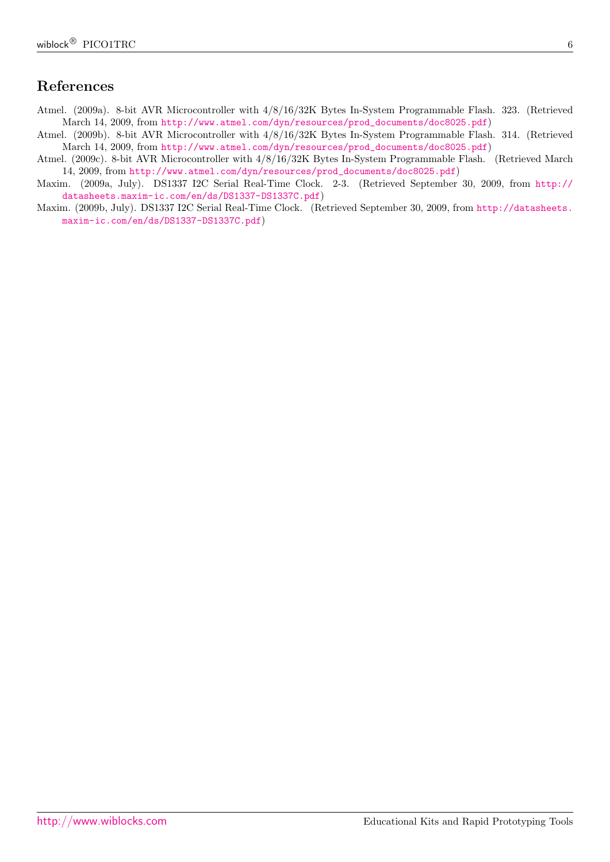# References

- Atmel. (2009a). 8-bit AVR Microcontroller with 4/8/16/32K Bytes In-System Programmable Flash. 323. (Retrieved March 14, 2009, from [http://www.atmel.com/dyn/resources/prod\\_documents/doc8025.pdf](http://www.atmel.com/dyn/resources/prod_documents/doc8025.pdf))
- Atmel. (2009b). 8-bit AVR Microcontroller with 4/8/16/32K Bytes In-System Programmable Flash. 314. (Retrieved March 14, 2009, from [http://www.atmel.com/dyn/resources/prod\\_documents/doc8025.pdf](http://www.atmel.com/dyn/resources/prod_documents/doc8025.pdf))
- Atmel. (2009c). 8-bit AVR Microcontroller with 4/8/16/32K Bytes In-System Programmable Flash. (Retrieved March 14, 2009, from [http://www.atmel.com/dyn/resources/prod\\_documents/doc8025.pdf](http://www.atmel.com/dyn/resources/prod_documents/doc8025.pdf))
- Maxim. (2009a, July). DS1337 I2C Serial Real-Time Clock. 2-3. (Retrieved September 30, 2009, from [http://](http://datasheets.maxim-ic.com/en/ds/DS1337-DS1337C.pdf) [datasheets.maxim-ic.com/en/ds/DS1337-DS1337C.pdf](http://datasheets.maxim-ic.com/en/ds/DS1337-DS1337C.pdf))
- Maxim. (2009b, July). DS1337 I2C Serial Real-Time Clock. (Retrieved September 30, 2009, from [http://datasheets.](http://datasheets.maxim-ic.com/en/ds/DS1337-DS1337C.pdf) [maxim-ic.com/en/ds/DS1337-DS1337C.pdf](http://datasheets.maxim-ic.com/en/ds/DS1337-DS1337C.pdf))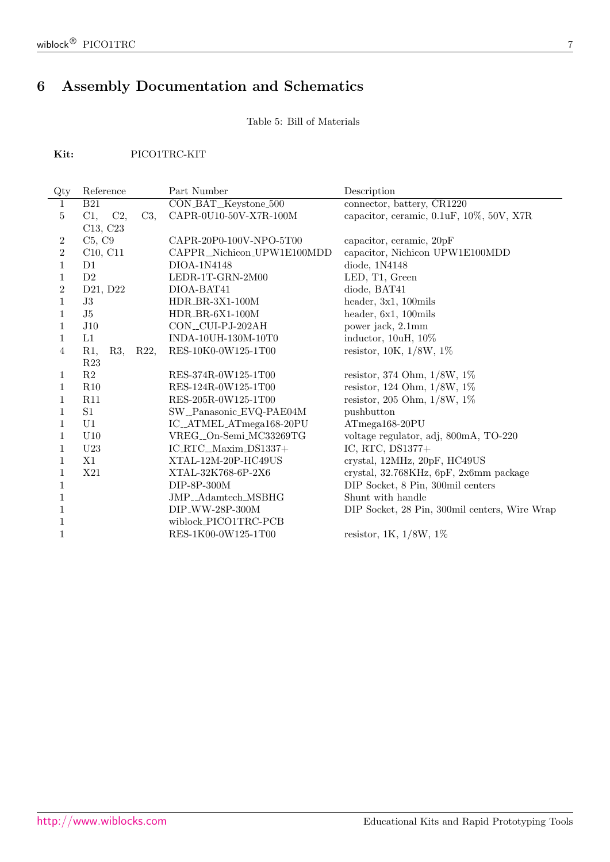# <span id="page-6-0"></span>6 Assembly Documentation and Schematics

Table 5: Bill of Materials

Kit: PICO1TRC-KIT

| Reference        |        | Part Number                | Description                                   |
|------------------|--------|----------------------------|-----------------------------------------------|
| <b>B21</b>       |        | CON_BAT_Keystone_500       | connector, battery, CR1220                    |
| $C1$ ,<br>C2,    | $C3$ , | CAPR-0U10-50V-X7R-100M     | capacitor, ceramic, 0.1uF, 10%, 50V, X7R      |
| C13, C23         |        |                            |                                               |
| C5, C9           |        | CAPR-20P0-100V-NPO-5T00    | capacitor, ceramic, 20pF                      |
| C10, C11         |        | CAPPR_Nichicon_UPW1E100MDD | capacitor, Nichicon UPW1E100MDD               |
| D1               |        | DIOA-1N4148                | diode, 1N4148                                 |
| D2               |        | LEDR-1T-GRN-2M00           | LED, T1, Green                                |
| D21, D22         |        | DIOA-BAT41                 | diode, BAT41                                  |
| J3               |        | $HDR_BR-3X1-100M$          | header, $3x1$ , $100m$ ils                    |
| J5               |        | $HDR_BR-6X1-100M$          | header, 6x1, 100mils                          |
| J10              |        | CON_CUI-PJ-202AH           | power jack, 2.1mm                             |
| L1               |        | INDA-10UH-130M-10T0        | inductor, 10uH, 10%                           |
| $R1$ ,<br>$R3$ , | R22,   | RES-10K0-0W125-1T00        | resistor, $10K$ , $1/8W$ , $1\%$              |
| R <sub>23</sub>  |        |                            |                                               |
| R2               |        | RES-374R-0W125-1T00        | resistor, 374 Ohm, 1/8W, 1%                   |
| R10              |        | RES-124R-0W125-1T00        | resistor, 124 Ohm, $1/8W$ , 1%                |
| R11              |        | RES-205R-0W125-1T00        | resistor, 205 Ohm, 1/8W, 1%                   |
| S1               |        | SW_Panasonic_EVQ-PAE04M    | pushbutton                                    |
| U1               |        | IC_ATMEL_ATmega168-20PU    | ATmega168-20PU                                |
| U10              |        | VREG_On-Semi_MC33269TG     | voltage regulator, adj, 800mA, TO-220         |
| U23              |        | $IC_RTC_Maxim_DS1337+$     | IC, RTC, DS1377+                              |
| X1               |        | XTAL-12M-20P-HC49US        | crystal, 12MHz, 20pF, HC49US                  |
| X21              |        | XTAL-32K768-6P-2X6         | crystal, 32.768KHz, 6pF, 2x6mm package        |
|                  |        | DIP-8P-300M                | DIP Socket, 8 Pin, 300mil centers             |
|                  |        | JMP_Adamtech_MSBHG         | Shunt with handle                             |
|                  |        | DIP_WW-28P-300M            | DIP Socket, 28 Pin, 300mil centers, Wire Wrap |
|                  |        | wiblock_PICO1TRC-PCB       |                                               |
|                  |        | RES-1K00-0W125-1T00        | resistor, 1K, $1/8W$ , $1\%$                  |
|                  |        |                            |                                               |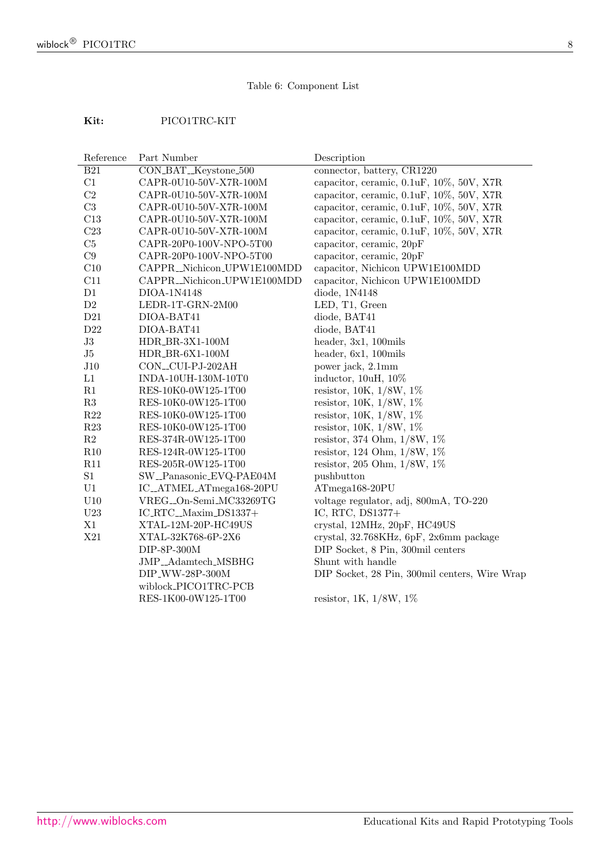### Table 6: Component List

### Kit: PICO1TRC-KIT

| Reference      | Part Number                | Description                                   |
|----------------|----------------------------|-----------------------------------------------|
| <b>B21</b>     | CON_BAT_Keystone_500       | connector, battery, CR1220                    |
| C1             | CAPR-0U10-50V-X7R-100M     | capacitor, ceramic, 0.1uF, 10%, 50V, X7R      |
| C2             | CAPR-0U10-50V-X7R-100M     | capacitor, ceramic, 0.1uF, 10%, 50V, X7R      |
| $\rm C3$       | CAPR-0U10-50V-X7R-100M     | capacitor, ceramic, 0.1uF, 10%, 50V, X7R      |
| C13            | CAPR-0U10-50V-X7R-100M     | capacitor, ceramic, 0.1uF, 10%, 50V, X7R      |
| C23            | CAPR-0U10-50V-X7R-100M     | capacitor, ceramic, 0.1uF, 10%, 50V, X7R      |
| C5             | CAPR-20P0-100V-NPO-5T00    | capacitor, ceramic, 20pF                      |
| C9             | CAPR-20P0-100V-NPO-5T00    | capacitor, ceramic, 20pF                      |
| C10            | CAPPR_Nichicon_UPW1E100MDD | capacitor, Nichicon UPW1E100MDD               |
| C11            | CAPPR_Nichicon_UPW1E100MDD | capacitor, Nichicon UPW1E100MDD               |
| D1             | DIOA-1N4148                | diode, 1N4148                                 |
| $\mathrm{D}2$  | LEDR-1T-GRN-2M00           | LED, T1, Green                                |
| D21            | DIOA-BAT41                 | diode, BAT41                                  |
| $\rm{D}22$     | DIOA-BAT41                 | diode, BAT41                                  |
| $\mathrm{J}3$  | HDR_BR-3X1-100M            | header, 3x1, 100mils                          |
| J5             | $HDR_BR-6X1-100M$          | header, 6x1, 100mils                          |
| J10            | CON_CUI-PJ-202AH           | power jack, 2.1mm                             |
| L1             | INDA-10UH-130M-10T0        | inductor, 10uH, 10%                           |
| R1             | RES-10K0-0W125-1T00        | resistor, $10K, 1/8W, 1\%$                    |
| R3             | RES-10K0-0W125-1T00        | resistor, $10K$ , $1/8W$ , $1\%$              |
| R22            | RES-10K0-0W125-1T00        | resistor, $10K, 1/8W, 1\%$                    |
| R23            | RES-10K0-0W125-1T00        | resistor, $10K, 1/8W, 1\%$                    |
| R2             | RES-374R-0W125-1T00        | resistor, 374 Ohm, 1/8W, 1%                   |
| R10            | RES-124R-0W125-1T00        | resistor, 124 Ohm, 1/8W, 1%                   |
| R11            | RES-205R-0W125-1T00        | resistor, 205 Ohm, $1/8W$ , $1\%$             |
| $\rm S1$       | SW_Panasonic_EVQ-PAE04M    | pushbutton                                    |
| U1             | IC_ATMEL_ATmega168-20PU    | ATmega168-20PU                                |
| U10            | VREG_On-Semi_MC33269TG     | voltage regulator, adj, 800mA, TO-220         |
| $\mathrm{U}23$ | IC_RTC_Maxim_DS1337+       | IC, RTC, DS1377+                              |
| X1             | XTAL-12M-20P-HC49US        | crystal, 12MHz, 20pF, HC49US                  |
| X21            | XTAL-32K768-6P-2X6         | crystal, 32.768KHz, 6pF, 2x6mm package        |
|                | $DIP-8P-300M$              | DIP Socket, 8 Pin, 300mil centers             |
|                | JMP_Adamtech_MSBHG         | Shunt with handle                             |
|                | DIP_WW-28P-300M            | DIP Socket, 28 Pin, 300mil centers, Wire Wrap |
|                | wiblock_PICO1TRC-PCB       |                                               |
|                | RES-1K00-0W125-1T00        | resistor, 1K, $1/8W$ , 1%                     |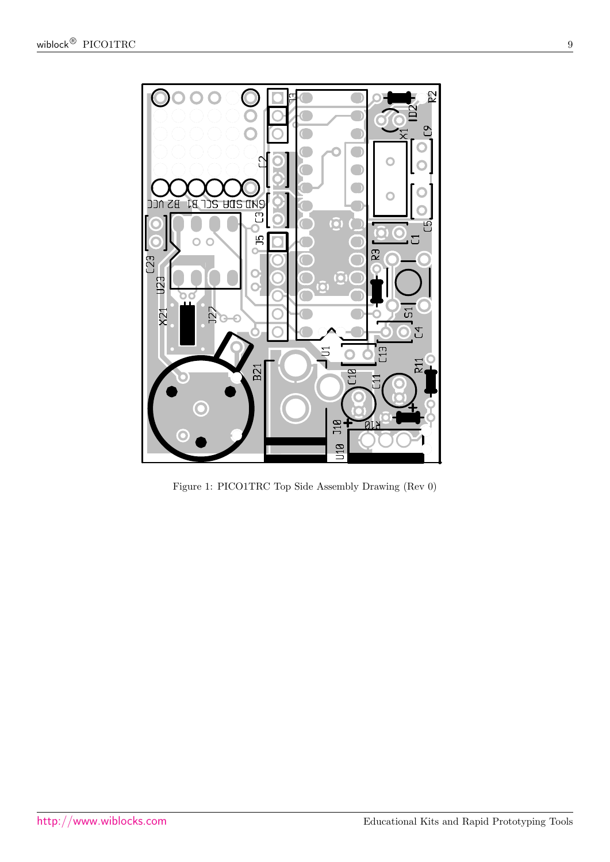<span id="page-8-0"></span>

Figure 1: PICO1TRC Top Side Assembly Drawing (Rev 0)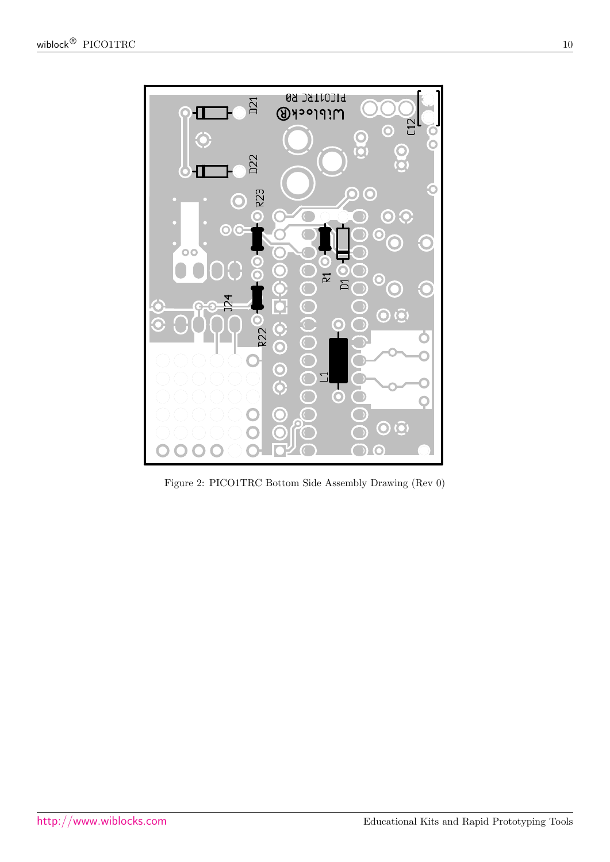

<span id="page-9-0"></span>Figure 2: PICO1TRC Bottom Side Assembly Drawing (Rev 0)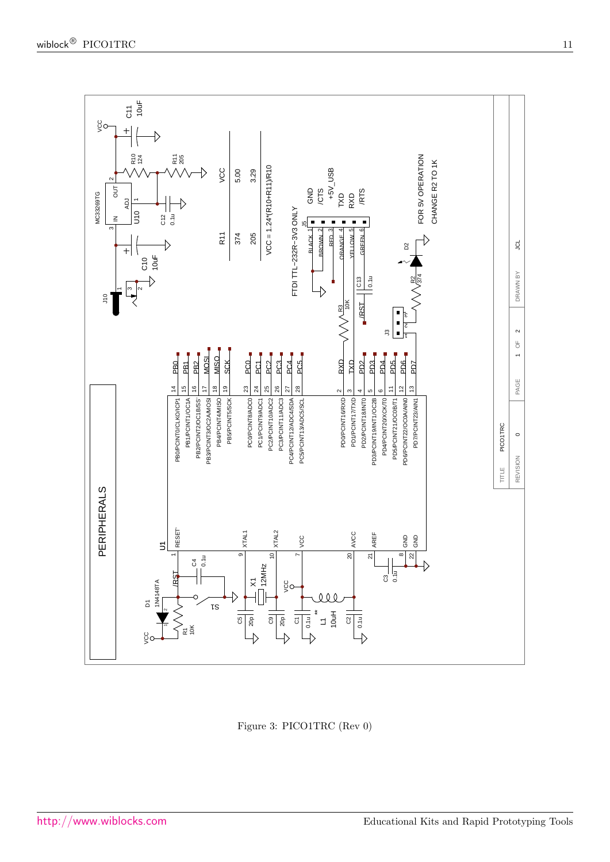

Figure 3: PICO1TRC (Rev 0)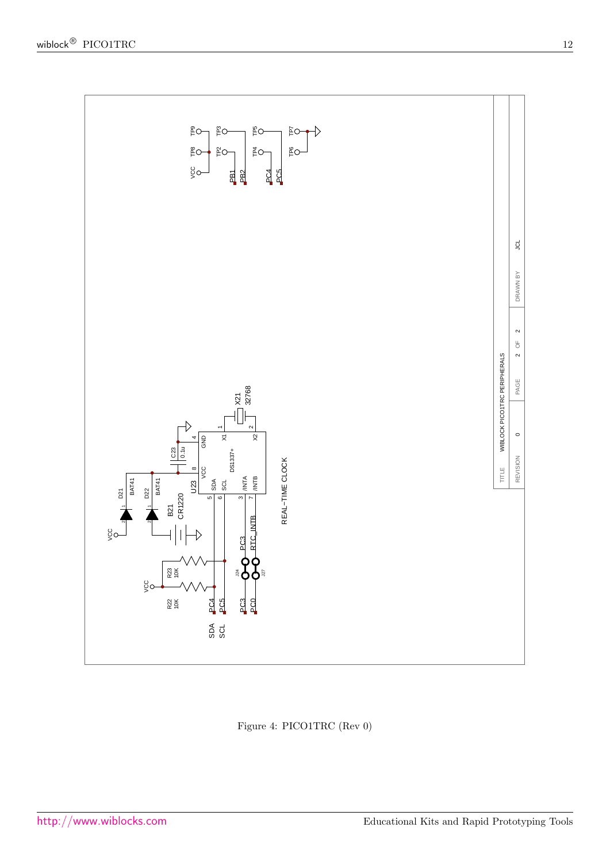

Figure 4: PICO1TRC (Rev 0)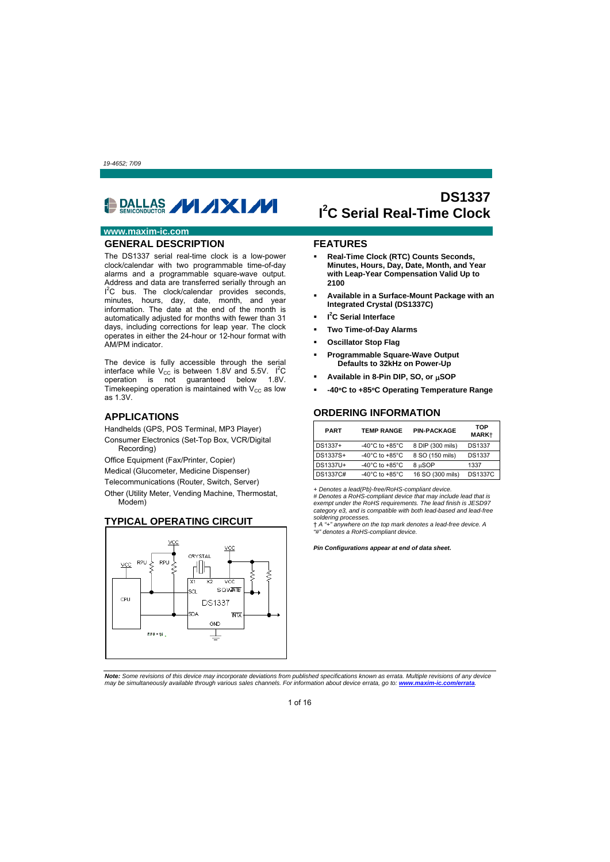<span id="page-12-0"></span>

### **www.maxim-ic.com**

### **GENERAL DESCRIPTION**

The DS1337 serial real-time clock is a low-power clock/calendar with two programmable time-of-day alarms and a programmable square-wave output. Address and data are transferred serially through an I<sup>2</sup>C bus. The clock/calendar provides seconds, minutes, hours, day, date, month, and year information. The date at the end of the month is automatically adjusted for months with fewer than 31 days, including corrections for leap year. The clock operates in either the 24-hour or 12-hour format with AM/PM indicator.

The device is fully accessible through the serial interface while  $V_{\text{cc}}$  is between 1.8V and 5.5V.  $I^2C$ operation is not guaranteed below 1.8V. Timekeeping operation is maintained with  $V_{CC}$  as low as 1.3V.

### **APPLICATIONS**

Handhelds (GPS, POS Terminal, MP3 Player)

Consumer Electronics (Set-Top Box, VCR/Digital Recording)

Office Equipment (Fax/Printer, Copier)

Medical (Glucometer, Medicine Dispenser)

Telecommunications (Router, Switch, Server)

Other (Utility Meter, Vending Machine, Thermostat, Modem)

### **TYPICAL OPERATING CIRCUIT**



# **DS1337 I 2 C Serial Real-Time Clock**

#### **FEATURES**

- **Real-Time Clock (RTC) Counts Seconds, Minutes, Hours, Day, Date, Month, and Year with Leap-Year Compensation Valid Up to 2100**
- **Available in a Surface-Mount Package with an Integrated Crystal (DS1337C)**
- **I 2 C Serial Interface**
- **Two Time-of-Day Alarms**
- **Oscillator Stop Flag**
- **Programmable Square-Wave Output Defaults to 32kHz on Power-Up**
- Available in 8-Pin DIP, SO, or  $\mu$ SOP
- **-40C to +85C Operating Temperature Range**

#### **ORDERING INFORMATION**

| <b>PART</b> | <b>TEMP RANGE</b>                    | <b>PIN-PACKAGE</b> | TOP<br><b>MARK+</b> |
|-------------|--------------------------------------|--------------------|---------------------|
| DS1337+     | -40 $^{\circ}$ C to +85 $^{\circ}$ C | 8 DIP (300 mils)   | <b>DS1337</b>       |
| DS1337S+    | -40 $^{\circ}$ C to +85 $^{\circ}$ C | 8 SO (150 mils)    | <b>DS1337</b>       |
| DS1337U+    | -40 $^{\circ}$ C to +85 $^{\circ}$ C | 8 µSOP             | 1337                |
| DS1337C#    | -40 $^{\circ}$ C to +85 $^{\circ}$ C | 16 SO (300 mils)   | <b>DS1337C</b>      |

*+ Denotes a lead(Pb)-free/RoHS-compliant device.* 

*# Denotes a RoHS-compliant device that may include lead that is exempt under the RoHS requirements. The lead finish is JESD97 category e3, and is compatible with both lead-based and lead-free soldering processes.* 

† *A "+" anywhere on the top mark denotes a lead-free device. A "#" denotes a RoHS-compliant device.* 

*Pin Configurations appear at end of data sheet.* 

*Note: Some revisions of this device may incorporate deviations from published specifications known as errata. Multiple revisions of any device may be simultaneously available through various sales channels. For information about device errata, go to: www.maxim-ic.com/errata.*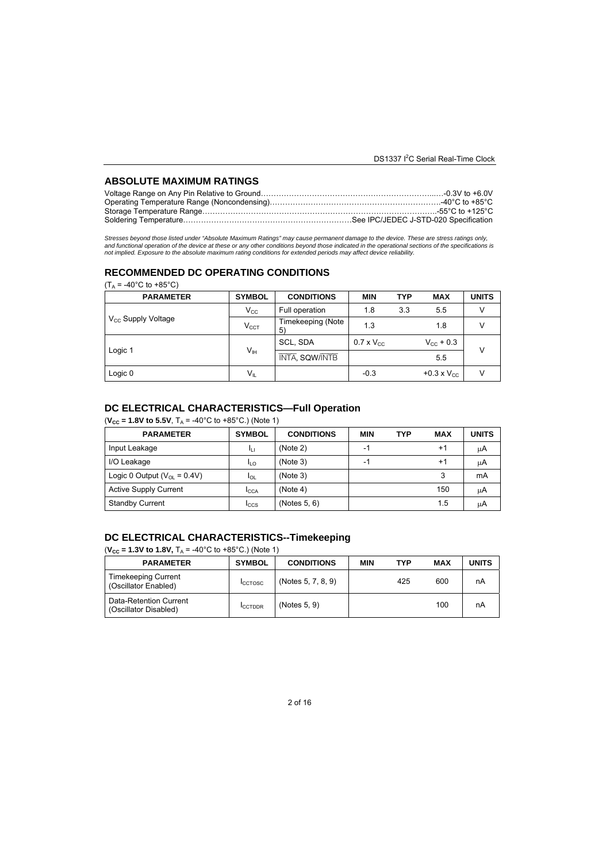### **ABSOLUTE MAXIMUM RATINGS**

Stresses beyond those listed under "Absolute Maximum Ratings" may cause permanent damage to the device. These are stress ratings only,<br>and functional operation of the device at these or any other conditions beyond those in

### **RECOMMENDED DC OPERATING CONDITIONS**

|         | $(T_A = -40^{\circ}C$ to $+85^{\circ}C$ ) |                       |                         |                     |            |                             |              |
|---------|-------------------------------------------|-----------------------|-------------------------|---------------------|------------|-----------------------------|--------------|
|         | <b>PARAMETER</b>                          | <b>SYMBOL</b>         | <b>CONDITIONS</b>       | <b>MIN</b>          | <b>TYP</b> | <b>MAX</b>                  | <b>UNITS</b> |
|         |                                           | $V_{\rm CC}$          | Full operation          | 1.8                 | 3.3        | 5.5                         | V            |
|         | $V_{\rm cc}$ Supply Voltage               | $V_{\text{CCT}}$      | Timekeeping (Note<br>5) | 1.3                 |            | 1.8                         | v            |
|         |                                           |                       | SCL, SDA                | $0.7 \times V_{CC}$ |            | $V_{\text{CC}} + 0.3$       | v            |
| Logic 1 | V <sub>IH</sub>                           | <b>INTA, SQW/INTB</b> |                         |                     | 5.5        |                             |              |
|         | Logic 0                                   | $V_{IL}$              |                         | $-0.3$              |            | $+0.3 \times V_{\text{CC}}$ | V            |

### **DC ELECTRICAL CHARACTERISTICS—Full Operation**

 $(V_{CC} = 1.8V$  to 5.5V,  $T_A = -40^{\circ}C$  to  $+85^{\circ}C$ .) (Note 1)

| <b>PARAMETER</b>                          | <b>SYMBOL</b> | <b>CONDITIONS</b> | <b>MIN</b> | <b>TYP</b> | <b>MAX</b> | <b>UNITS</b> |
|-------------------------------------------|---------------|-------------------|------------|------------|------------|--------------|
| Input Leakage                             | łц            | (Note 2)          | -1         |            | $+1$       | μA           |
| I/O Leakage                               | ILO           | (Note 3)          | -1         |            | $+1$       | μA           |
| Logic 0 Output ( $V_{\text{ol}} = 0.4V$ ) | $I_{OL}$      | (Note 3)          |            |            | 3          | mA           |
| <b>Active Supply Current</b>              | <b>I</b> CCA  | (Note 4)          |            |            | 150        | μA           |
| <b>Standby Current</b>                    | <b>I</b> ccs  | (Notes $5, 6$ )   |            |            | 1.5        | ιıΑ          |

### **DC ELECTRICAL CHARACTERISTICS--Timekeeping**

 $(V_{CC} = 1.3V$  to 1.8V,  $T_A = -40^{\circ}C$  to  $+85^{\circ}C$ .) (Note 1)

| <b>PARAMETER</b>                                   | <b>SYMBOL</b>  | <b>CONDITIONS</b>  | <b>MIN</b> | <b>TYP</b> | <b>MAX</b> | <b>UNITS</b> |
|----------------------------------------------------|----------------|--------------------|------------|------------|------------|--------------|
| <b>Timekeeping Current</b><br>(Oscillator Enabled) | <b>ICCTOSC</b> | (Notes 5, 7, 8, 9) |            | 425        | 600        | nA           |
| Data-Retention Current<br>(Oscillator Disabled)    | <b>ICCTDDR</b> | (Notes 5, 9)       |            |            | 100        | nA           |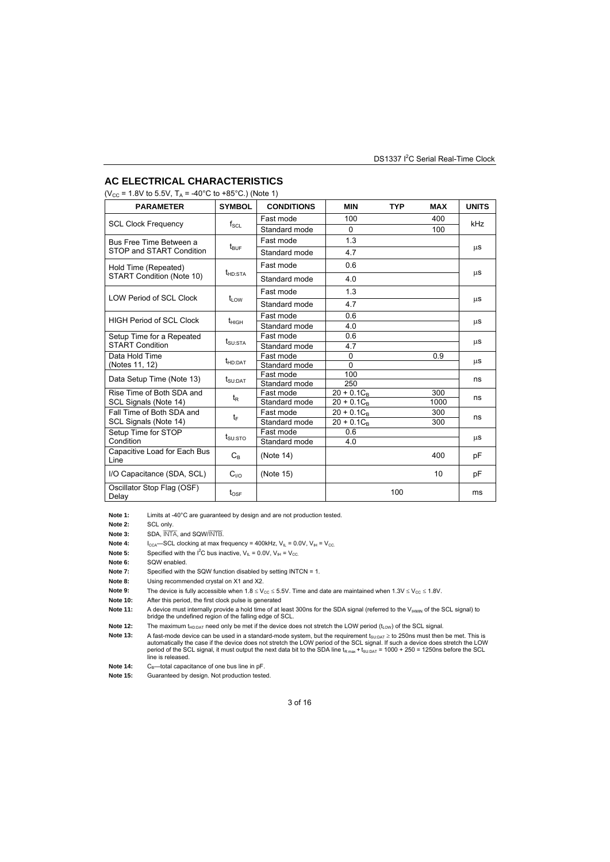### **AC ELECTRICAL CHARACTERISTICS**

 $(V_{CC} = 1.8V$  to 5.5V,  $T_A = -40^{\circ}$ C to +85°C.) (Note 1)

| <b>PARAMETER</b>                     | <b>SYMBOL</b>                   | <b>CONDITIONS</b> | <b>MIN</b>      | <b>TYP</b> | <b>MAX</b> | <b>UNITS</b> |  |
|--------------------------------------|---------------------------------|-------------------|-----------------|------------|------------|--------------|--|
|                                      |                                 | Fast mode         | 100             |            | 400        |              |  |
| <b>SCL Clock Frequency</b>           | $\mathsf{f}_{\mathsf{SCL}}$     | Standard mode     | $\Omega$        |            | 100        | kHz          |  |
| Bus Free Time Between a              |                                 | Fast mode         | 1.3             |            |            |              |  |
| STOP and START Condition             | $t_{\mathsf{BUF}}$              | Standard mode     | 4.7             |            |            | μS           |  |
| Hold Time (Repeated)                 | $t_{HD:STA}$                    | Fast mode         | 0.6             |            |            | μS           |  |
| START Condition (Note 10)            |                                 | Standard mode     | 4.0             |            |            |              |  |
| <b>LOW Period of SCL Clock</b>       |                                 | Fast mode         | 1.3             |            |            |              |  |
|                                      | $t_{\text{low}}$                | Standard mode     | 4.7             |            |            | μS           |  |
| <b>HIGH Period of SCL Clock</b>      |                                 | Fast mode         | 0.6             |            |            |              |  |
|                                      | $t_{\text{HIGH}}$               | Standard mode     | 4.0             |            |            | μS           |  |
| Setup Time for a Repeated            |                                 | Fast mode         | 0.6             |            |            |              |  |
| <b>START Condition</b>               | $t_{\scriptstyle\text{SU:STA}}$ | Standard mode     | 4.7             |            |            | μS           |  |
| Data Hold Time                       |                                 | Fast mode         | $\Omega$        |            | 0.9        |              |  |
| (Notes 11, 12)                       | t <sub>HD:DAT</sub>             | Standard mode     | $\Omega$        |            |            | μS           |  |
| Data Setup Time (Note 13)            |                                 | Fast mode         | 100             |            |            | ns           |  |
|                                      | $t_{\text{SU:DAT}}$             | Standard mode     | 250             |            |            |              |  |
| Rise Time of Both SDA and            | $t_{\mathsf{R}}$                | Fast mode         | $20 + 0.1C_B$   |            | 300        | ns           |  |
| SCL Signals (Note 14)                |                                 | Standard mode     | $20 + 0.1C_{B}$ |            | 1000       |              |  |
| Fall Time of Both SDA and            |                                 | Fast mode         | $20 + 0.1C_B$   |            | 300        | ns           |  |
| SCL Signals (Note 14)                | tF                              | Standard mode     | $20 + 0.1C_B$   |            | 300        |              |  |
| Setup Time for STOP                  |                                 | Fast mode         | 0.6             |            |            |              |  |
| Condition                            | $t_{\scriptstyle\text{SU:STO}}$ | Standard mode     | 4.0             |            |            | μS           |  |
| Capacitive Load for Each Bus<br>Line | $C_{R}$                         | (Note 14)         |                 |            | 400        | рF           |  |
| I/O Capacitance (SDA, SCL)           | $C_{1/2}$                       | (Note 15)         |                 |            | 10         | рF           |  |
| Oscillator Stop Flag (OSF)<br>Delay  | $t_{\text{OSF}}$                |                   |                 | 100        |            | ms           |  |

Note 1: Limits at -40°C are guaranteed by design and are not production tested.

**Note 2:** SCL only.

**Note 3:** SDA, INTA, and SQW/INTB.

**Note 4:**  $I_{CGA}$ —SCL clocking at max frequency = 400kHz,  $V_{IL}$  = 0.0V,  $V_{IH}$  =  $V_{CC}$ .

**Note 5:** Specified with the  $I^2C$  bus inactive,  $V_{IL} = 0.0V$ ,  $V_{IH} = V_{CC}$ .

**Note 6:** SQW enabled.

**Note 7:** Specified with the SQW function disabled by setting INTCN = 1.

**Note 8:** Using recommended crystal on X1 and X2.

**Note 9:** The device is fully accessible when  $1.8 \le V_{CC} \le 5.5V$ . Time and date are maintained when  $1.3V \le V_{CC} \le 1.8V$ .

**Note 10:** After this period, the first clock pulse is generated

Note 11: A device must internally provide a hold time of at least 300ns for the SDA signal (referred to the V<sub>IHMIN</sub> of the SCL signal) to bridge the undefined region of the falling edge of SCL.

**Note 12:** The maximum t<sub>HD:DAT</sub> need only be met if the device does not stretch the LOW period (t<sub>LOW</sub>) of the SCL signal.<br>**Note 13:** A fast-mode device can be used in a standard-mode system, but the requirement t<sub>su:DAT</sub>

Note 13: A fast-mode device can be used in a standard-mode system, but the requirement t<sub>supar</sub> ≥ to 250ns must then be met. This is<br>automatically the case if the device does not stretch the LOW period of the SCL signal. line is released.

**Note 14:** C<sub>B</sub>—total capacitance of one bus line in pF.<br>**Note 15:** Guaranteed by design. Not production teste

Guaranteed by design. Not production tested.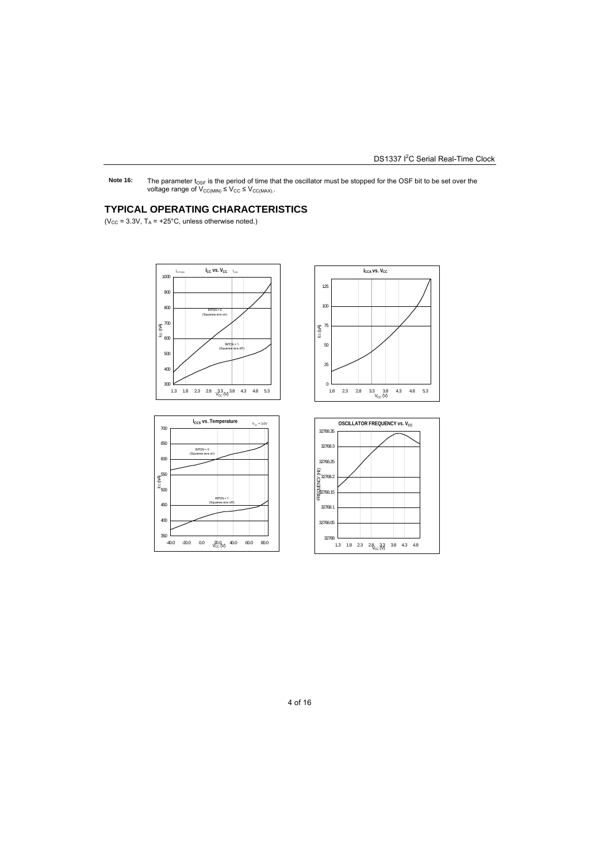Note 16: The parameter t<sub>OSF</sub> is the period of time that the oscillator must be stopped for the OSF bit to be set over the voltage range of  $V_{CC(MIN)} \leq V_{CC} \leq V_{CC(MAX)}$ .

### **TYPICAL OPERATING CHARACTERISTICS**

( $V_{CC}$  = 3.3V,  $T_A$  = +25°C, unless otherwise noted.)









4 of 16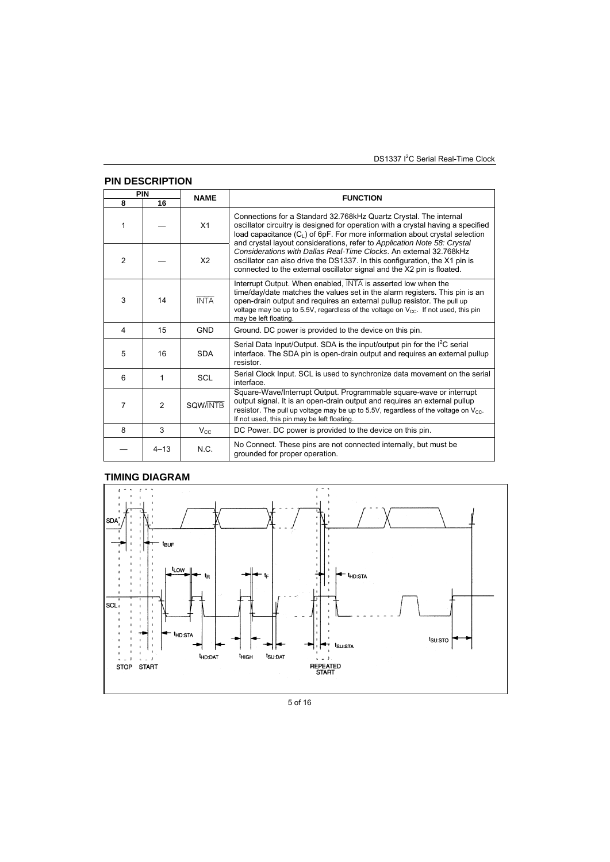DS1337 I<sup>2</sup>C Serial Real-Time Clock

|                | <b>PIN DESCRIPTION</b> |                 |                                                                                                                                                                                                                                                                                                                                              |
|----------------|------------------------|-----------------|----------------------------------------------------------------------------------------------------------------------------------------------------------------------------------------------------------------------------------------------------------------------------------------------------------------------------------------------|
| PIN            |                        | <b>NAME</b>     | <b>FUNCTION</b>                                                                                                                                                                                                                                                                                                                              |
| 8              | 16                     |                 |                                                                                                                                                                                                                                                                                                                                              |
| $\mathbf{1}$   |                        | X <sub>1</sub>  | Connections for a Standard 32.768kHz Quartz Crystal. The internal<br>oscillator circuitry is designed for operation with a crystal having a specified<br>load capacitance $(C_1)$ of 6pF. For more information about crystal selection<br>and crystal layout considerations, refer to Application Note 58: Crystal                           |
| $\mathfrak{p}$ |                        | X <sub>2</sub>  | Considerations with Dallas Real-Time Clocks. An external 32.768kHz<br>oscillator can also drive the DS1337. In this configuration, the X1 pin is<br>connected to the external oscillator signal and the X2 pin is floated.                                                                                                                   |
| 3              | 14                     | <b>INTA</b>     | Interrupt Output. When enabled, INTA is asserted low when the<br>time/day/date matches the values set in the alarm registers. This pin is an<br>open-drain output and requires an external pullup resistor. The pull up<br>voltage may be up to 5.5V, regardless of the voltage on $V_{CC}$ . If not used, this pin<br>may be left floating. |
| 4              | 15                     | <b>GND</b>      | Ground. DC power is provided to the device on this pin.                                                                                                                                                                                                                                                                                      |
| 5              | 16                     | <b>SDA</b>      | Serial Data Input/Output. SDA is the input/output pin for the I <sup>2</sup> C serial<br>interface. The SDA pin is open-drain output and requires an external pullup<br>resistor.                                                                                                                                                            |
| 6              | 1                      | <b>SCL</b>      | Serial Clock Input. SCL is used to synchronize data movement on the serial<br>interface.                                                                                                                                                                                                                                                     |
| 7              | $\mathcal{P}$          | <b>SQW/INTB</b> | Square-Wave/Interrupt Output. Programmable square-wave or interrupt<br>output signal. It is an open-drain output and requires an external pullup<br>resistor. The pull up voltage may be up to 5.5V, regardless of the voltage on $V_{CC}$ .<br>If not used, this pin may be left floating.                                                  |
| 8              | 3                      | $V_{\rm CC}$    | DC Power. DC power is provided to the device on this pin.                                                                                                                                                                                                                                                                                    |
|                | $4 - 13$               | N.C.            | No Connect. These pins are not connected internally, but must be<br>grounded for proper operation.                                                                                                                                                                                                                                           |

# **TIMING DIAGRAM**



<sup>5</sup> of 16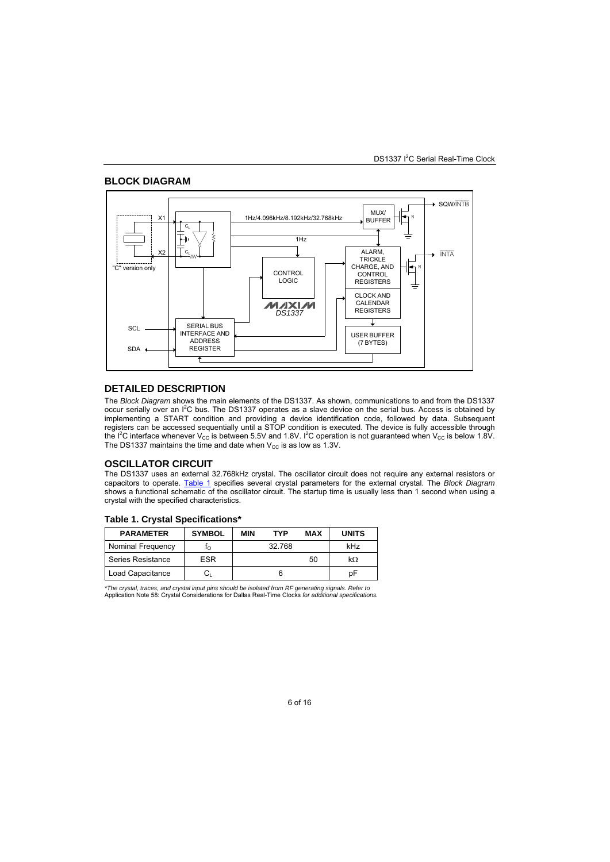#### **BLOCK DIAGRAM**



#### **DETAILED DESCRIPTION**

The *Block Diagram* shows the main elements of the DS1337. As shown, communications to and from the DS1337 occur serially over an I<sup>2</sup>C bus. The DS1337 operates as a slave device on the serial bus. Access is obtained by implementing a START condition and providing a device identification code, followed by data. Subsequent registers can be accessed sequentially until a STOP condition is executed. The device is fully accessible through the I<sup>2</sup>C interface whenever V<sub>cc</sub> is between 5.5V and 1.8V. I<sup>2</sup>C operation is not guaranteed when V<sub>cc</sub> is below 1.8V. The DS1337 maintains the time and date when  $V_{\text{CC}}$  is as low as 1.3V.

#### **OSCILLATOR CIRCUIT**

The DS1337 uses an external 32.768kHz crystal. The oscillator circuit does not require any external resistors or capacitors to operate. Table 1 specifies several crystal parameters for the external crystal. The *Block Diagram* shows a functional schematic of the oscillator circuit. The startup time is usually less than 1 second when using a crystal with the specified characteristics.

#### **Table 1. Crystal Specifications\***

| <b>PARAMETER</b>  | <b>SYMBOL</b> | MIN | TYP    | MAX | <b>UNITS</b> |
|-------------------|---------------|-----|--------|-----|--------------|
| Nominal Frequency |               |     | 32.768 |     | kHz          |
| Series Resistance | <b>ESR</b>    |     |        | 50  | $k\Omega$    |
| Load Capacitance  | $C_1$         |     |        |     | рF           |

*\*The crystal, traces, and crystal input pins should be isolated from RF generating signals. Refer to*  Application Note 58: Crystal Considerations for Dallas Real-Time Clocks *for additional specifications.*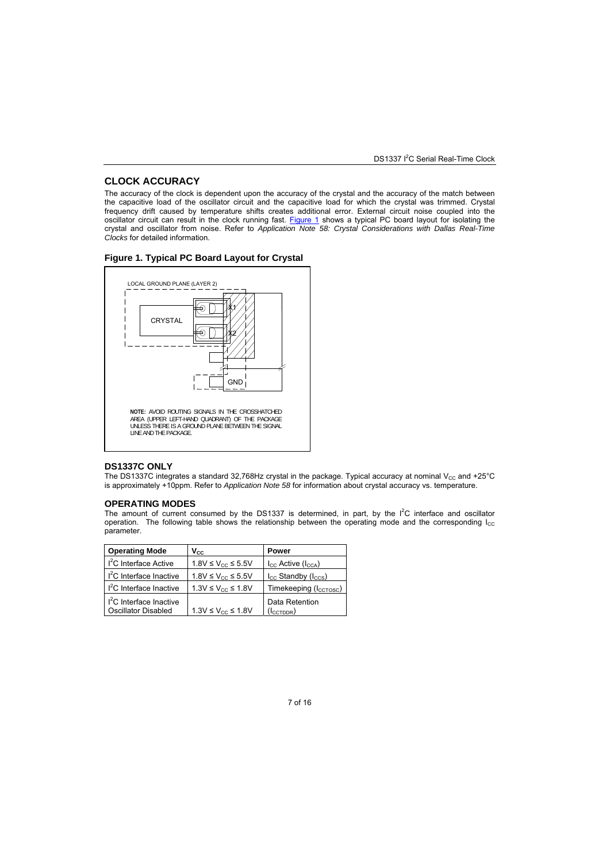#### **CLOCK ACCURACY**

The accuracy of the clock is dependent upon the accuracy of the crystal and the accuracy of the match between the capacitive load of the oscillator circuit and the capacitive load for which the crystal was trimmed. Crystal frequency drift caused by temperature shifts creates additional error. External circuit noise coupled into the oscillator circuit can result in the clock running fast. Figure 1 shows a typical PC board layout for isolating the crystal and oscillator from noise. Refer to *Application Note 58: Crystal Considerations with Dallas Real-Time Clocks* for detailed information.





#### **DS1337C ONLY**

The DS1337C integrates a standard 32,768Hz crystal in the package. Typical accuracy at nominal  $V_{CC}$  and +25°C is approximately +10ppm. Refer to *Application Note 58* for information about crystal accuracy vs. temperature.

#### **OPERATING MODES**

The amount of current consumed by the DS1337 is determined, in part, by the  $I^2C$  interface and oscillator operation. The following table shows the relationship between the operating mode and the corresponding  $I_{CC}$ parameter.

| <b>Operating Mode</b>               | $V_{\rm CC}$                 | Power                                  |
|-------------------------------------|------------------------------|----------------------------------------|
| $I2C$ Interface Active              | 1.8V ≤ $V_{CC}$ ≤ 5.5V       | $I_{CC}$ Active $(I_{CCA})$            |
| I <sup>2</sup> C Interface Inactive | $1.8V \leq V_{CC} \leq 5.5V$ | $I_{\rm CC}$ Standby ( $I_{\rm CCS}$ ) |
| I <sup>2</sup> C Interface Inactive | $1.3V \leq V_{CC} \leq 1.8V$ | Timekeeping (Iccrosc)                  |
| I <sup>2</sup> C Interface Inactive |                              | Data Retention                         |
| Oscillator Disabled                 | 1.3V ≤ $V_{cc}$ ≤ 1.8V       | $(l_{\text{CCTDDR}})$                  |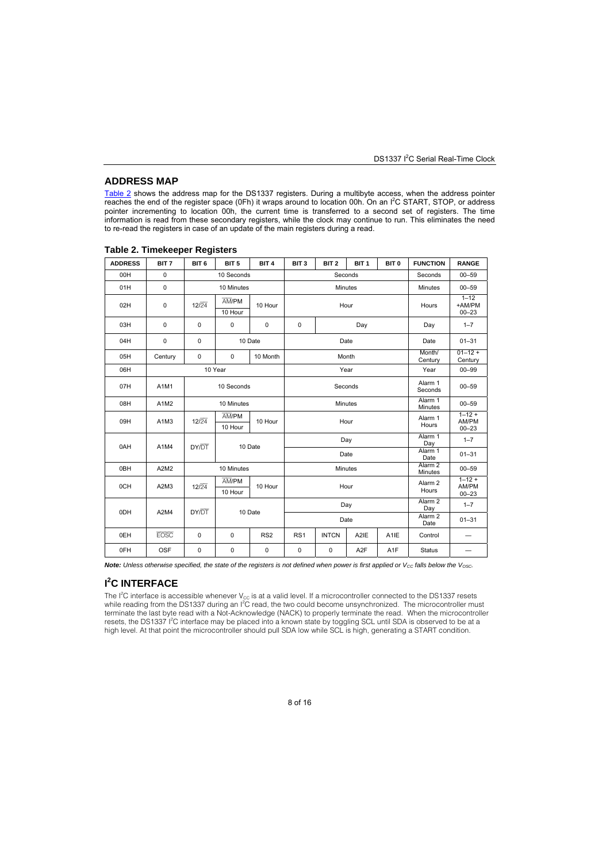#### **ADDRESS MAP**

<u>Table 2</u> shows the address map for the DS1337 registers. During a multibyte access, when the address pointer<br>reaches the end of the register space (0Fh) it wraps around to location 00h. On an I<sup>2</sup>C START, STOP, or address pointer incrementing to location 00h, the current time is transferred to a second set of registers. The time information is read from these secondary registers, while the clock may continue to run. This eliminates the need to re-read the registers in case of an update of the main registers during a read.

| <b>ADDRESS</b> | BIT <sub>7</sub>              | BIT <sub>6</sub>      | BIT <sub>5</sub>             | BIT <sub>4</sub> | BIT <sub>3</sub> | BIT <sub>2</sub>              | BIT <sub>1</sub>          | BIT <sub>0</sub>   | <b>FUNCTION</b>             | <b>RANGE</b>                     |         |           |
|----------------|-------------------------------|-----------------------|------------------------------|------------------|------------------|-------------------------------|---------------------------|--------------------|-----------------------------|----------------------------------|---------|-----------|
| 00H            | 0                             |                       | 10 Seconds                   |                  |                  | Seconds                       |                           |                    |                             |                                  | Seconds | $00 - 59$ |
| 01H            | $\mathbf 0$                   |                       | 10 Minutes                   |                  |                  | Minutes                       |                           |                    | <b>Minutes</b>              | $00 - 59$                        |         |           |
| 02H            | 0                             | 12/24                 | AM/PM<br>10 Hour             | 10 Hour          |                  |                               | Hour                      |                    | Hours                       | $1 - 12$<br>+AM/PM<br>$00 - 23$  |         |           |
| 03H            | 0                             | 0                     | $\mathbf 0$                  | 0                | $\mathbf 0$      |                               | Day                       |                    | Day                         | $1 - 7$                          |         |           |
| 04H            | 0                             | 0                     |                              | 10 Date          |                  |                               | Date                      |                    | Date                        | $01 - 31$                        |         |           |
| 05H            | Century                       | 0                     | $\Omega$                     | 10 Month         |                  |                               | Month                     |                    | Month/<br>Century           | $01 - 12 +$<br>Century           |         |           |
| 06H            |                               |                       | 10 Year                      |                  |                  |                               | Year                      |                    | Year                        | $00 - 99$                        |         |           |
| 07H            | A1M1                          | 10 Seconds<br>Seconds |                              |                  |                  |                               |                           | Alarm 1<br>Seconds | $00 - 59$                   |                                  |         |           |
| 08H            | A1M2                          |                       | 10 Minutes                   |                  | Minutes          |                               |                           | Alarm 1<br>Minutes | $00 - 59$                   |                                  |         |           |
| 09H            | A <sub>1</sub> M <sub>3</sub> | 12/24                 | AM/PM<br>10 Hour             | 10 Hour          |                  | Hour                          |                           |                    | Alarm 1<br>Hours            | $1 - 12 +$<br>AM/PM<br>$00 - 23$ |         |           |
| 0AH            | A1M4                          | DY/DT                 |                              | 10 Date          |                  |                               | Day                       |                    | Alarm 1<br>Day              | $1 - 7$                          |         |           |
|                |                               |                       |                              |                  |                  |                               | Date                      |                    | Alarm 1<br>Date             | $01 - 31$                        |         |           |
| 0BH            | A2M2                          |                       | 10 Minutes<br><b>Minutes</b> |                  |                  | Alarm <sub>2</sub><br>Minutes | $00 - 59$                 |                    |                             |                                  |         |           |
| 0CH            | A2M3                          | 12/24                 | AM/PM<br>10 Hour             | 10 Hour          |                  | Hour                          |                           |                    | Alarm <sub>2</sub><br>Hours | $1 - 12 +$<br>AM/PM<br>$00 - 23$ |         |           |
|                |                               |                       |                              |                  | Day              |                               | Alarm <sub>2</sub><br>Day | $1 - 7$            |                             |                                  |         |           |
| 0DH            | A2M4                          | DY/DT                 |                              | 10 Date          |                  |                               | Date                      |                    | Alarm <sub>2</sub><br>Date  | $01 - 31$                        |         |           |
| 0EH            | <b>EOSC</b>                   | 0                     | $\mathbf 0$                  | RS <sub>2</sub>  | RS <sub>1</sub>  | <b>INTCN</b>                  | A <sub>2</sub> IE         | A <sub>1</sub> IE  | Control                     |                                  |         |           |
| 0FH            | OSF                           | 0                     | $\mathbf 0$                  | 0                | 0                | $\mathsf 0$                   | A <sub>2</sub> F          | A <sub>1</sub> F   | <b>Status</b>               |                                  |         |           |

#### **Table 2. Timekeeper Registers**

**Note:** Unless otherwise specified, the state of the registers is not defined when power is first applied or V<sub>CC</sub> falls below the V<sub>OSC</sub>.

### **I 2 C INTERFACE**

The I<sup>2</sup>C interface is accessible whenever V<sub>cc</sub> is at a valid level. If a microcontroller connected to the DS1337 resets<br>while reading from the DS1337 during an I<sup>2</sup>C read, the two could become unsynchronized. The microc terminate the last byte read with a Not-Acknowledge (NACK) to properly terminate the read. When the microcontroller<br>resets, the DS1337 I<sup>2</sup>C interface may be placed into a known state by toggling SCL until SDA is observed high level. At that point the microcontroller should pull SDA low while SCL is high, generating a START condition.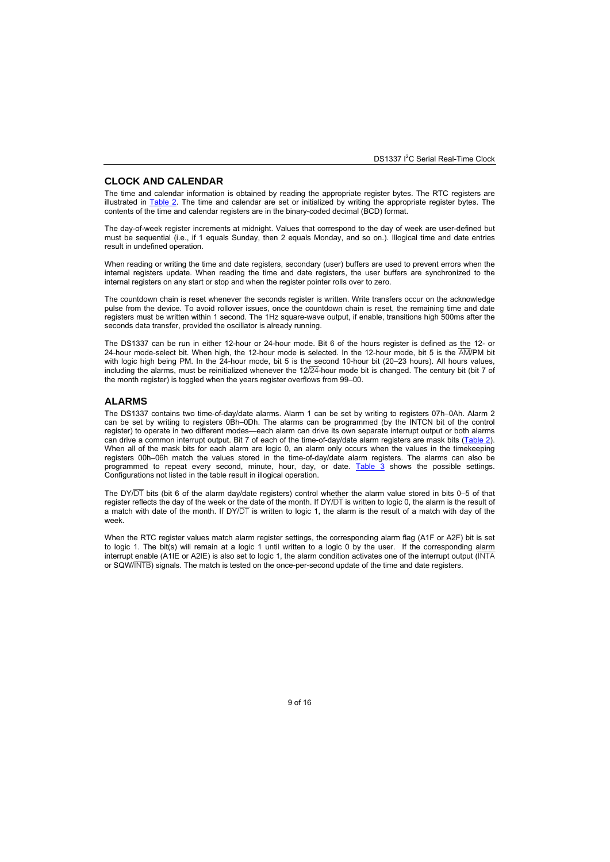#### **CLOCK AND CALENDAR**

The time and calendar information is obtained by reading the appropriate register bytes. The RTC registers are illustrated in Table 2. The time and calendar are set or initialized by writing the appropriate register bytes. The contents of the time and calendar registers are in the binary-coded decimal (BCD) format.

The day-of-week register increments at midnight. Values that correspond to the day of week are user-defined but must be sequential (i.e., if 1 equals Sunday, then 2 equals Monday, and so on.). Illogical time and date entries result in undefined operation.

When reading or writing the time and date registers, secondary (user) buffers are used to prevent errors when the internal registers update. When reading the time and date registers, the user buffers are synchronized to the internal registers on any start or stop and when the register pointer rolls over to zero.

The countdown chain is reset whenever the seconds register is written. Write transfers occur on the acknowledge pulse from the device. To avoid rollover issues, once the countdown chain is reset, the remaining time and date registers must be written within 1 second. The 1Hz square-wave output, if enable, transitions high 500ms after the seconds data transfer, provided the oscillator is already running.

The DS1337 can be run in either 12-hour or 24-hour mode. Bit 6 of the hours register is defined as the 12- or 24-hour mode-select bit. When high, the 12-hour mode is selected. In the 12-hour mode, bit 5 is the AM/PM bit with logic high being PM. In the 24-hour mode, bit 5 is the second 10-hour bit (20–23 hours). All hours values, including the alarms, must be reinitialized whenever the 12/24-hour mode bit is changed. The century bit (bit 7 of the month register) is toggled when the years register overflows from 99–00.

### **ALARMS**

The DS1337 contains two time-of-day/date alarms. Alarm 1 can be set by writing to registers 07h–0Ah. Alarm 2 can be set by writing to registers 0Bh–0Dh. The alarms can be programmed (by the INTCN bit of the control register) to operate in two different modes—each alarm can drive its own separate interrupt output or both alarms can drive a common interrupt output. Bit 7 of each of the time-of-day/date alarm registers are mask bits (Table 2). When all of the mask bits for each alarm are logic 0, an alarm only occurs when the values in the timekeeping registers 00h–06h match the values stored in the time-of-day/date alarm registers. The alarms can also be programmed to repeat every second, minute, hour, day, or date. **Table 3** shows the possible settings. Configurations not listed in the table result in illogical operation.

The DY/DT bits (bit 6 of the alarm day/date registers) control whether the alarm value stored in bits 0–5 of that register reflects the day of the week or the date of the month. If  $DY\overline{DT}$  is written to logic 0, the alarm is the result of a match with date of the month. If  $DY/\overline{DT}$  is written to logic 1, the alarm is the result of a match with day of the week.

When the RTC register values match alarm register settings, the corresponding alarm flag (A1F or A2F) bit is set to logic 1. The bit(s) will remain at a logic 1 until written to a logic 0 by the user. If the corresponding alarm interrupt enable (A1IE or A2IE) is also set to logic 1, the alarm condition activates one of the interrupt output (INTA or SQW/INTB) signals. The match is tested on the once-per-second update of the time and date registers.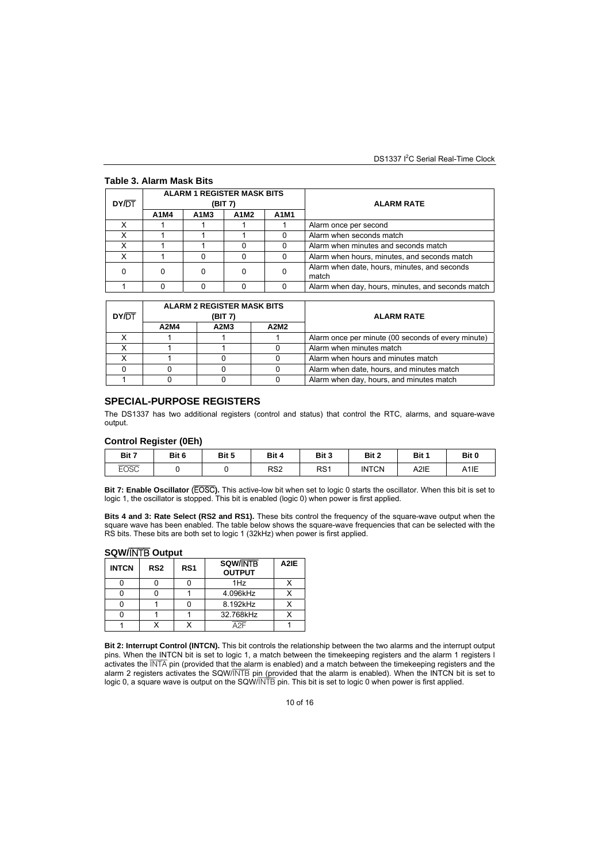#### **Table 3. Alarm Mask Bits**

| DY/DT | <b>ALARM 1 REGISTER MASK BITS</b><br>(BIT 7)<br>A1M3<br>A1M2<br>A1M4 |  |   | <b>ALARM RATE</b> |                                                       |
|-------|----------------------------------------------------------------------|--|---|-------------------|-------------------------------------------------------|
|       |                                                                      |  |   | A1M1              |                                                       |
|       |                                                                      |  |   |                   | Alarm once per second                                 |
|       |                                                                      |  |   | 0                 | Alarm when seconds match                              |
|       |                                                                      |  |   | O                 | Alarm when minutes and seconds match                  |
|       |                                                                      |  |   | 0                 | Alarm when hours, minutes, and seconds match          |
|       |                                                                      |  | O | O                 | Alarm when date, hours, minutes, and seconds<br>match |
|       |                                                                      |  |   | 0                 | Alarm when day, hours, minutes, and seconds match     |

|              |         | <b>ALARM 2 REGISTER MASK BITS</b> |      |                                                    |
|--------------|---------|-----------------------------------|------|----------------------------------------------------|
| <b>DY/DT</b> | (BIT 7) |                                   |      | <b>ALARM RATE</b>                                  |
|              | A2M4    | A2M3                              | A2M2 |                                                    |
|              |         |                                   |      | Alarm once per minute (00 seconds of every minute) |
|              |         |                                   |      | Alarm when minutes match                           |
|              |         |                                   |      | Alarm when hours and minutes match                 |
|              |         |                                   |      | Alarm when date, hours, and minutes match          |
|              |         |                                   |      | Alarm when day, hours, and minutes match           |

### **SPECIAL-PURPOSE REGISTERS**

The DS1337 has two additional registers (control and status) that control the RTC, alarms, and square-wave output.

#### **Control Register (0Eh)**

| Bit 7       | Bit 6 | Bit 5 | Bit 4           | Bit 3           | Bit 2        | Bit 1 | Bit 0             |
|-------------|-------|-------|-----------------|-----------------|--------------|-------|-------------------|
| <b>EOSC</b> |       |       | RS <sub>2</sub> | RS <sub>1</sub> | <b>INTCN</b> | A2IE  | A <sub>1</sub> IE |

**Bit 7: Enable Oscillator** (EOSC**).** This active-low bit when set to logic 0 starts the oscillator. When this bit is set to logic 1, the oscillator is stopped. This bit is enabled (logic 0) when power is first applied.

**Bits 4 and 3: Rate Select (RS2 and RS1).** These bits control the frequency of the square-wave output when the square wave has been enabled. The table below shows the square-wave frequencies that can be selected with the RS bits. These bits are both set to logic 1 (32kHz) when power is first applied.

#### **SQW/**INTB **Output**

| <b>INTCN</b> | RS <sub>2</sub> | RS <sub>1</sub> | <b>SQW/INTB</b><br><b>OUTPUT</b> | A2IE |
|--------------|-----------------|-----------------|----------------------------------|------|
|              |                 |                 | 1Hz                              |      |
|              |                 |                 | 4.096kHz                         |      |
|              |                 |                 | 8.192kHz                         |      |
|              |                 |                 | 32.768kHz                        |      |
|              |                 |                 | ıΩ                               |      |

**Bit 2: Interrupt Control (INTCN).** This bit controls the relationship between the two alarms and the interrupt output pins. When the INTCN bit is set to logic 1, a match between the timekeeping registers and the alarm 1 registers l activates the INTA pin (provided that the alarm is enabled) and a match between the timekeeping registers and the alarm 2 registers activates the SQW/INTB pin (provided that the alarm is enabled). When the INTCN bit is set to logic 0, a square wave is output on the SQW/INTB pin. This bit is set to logic 0 when power is first applied.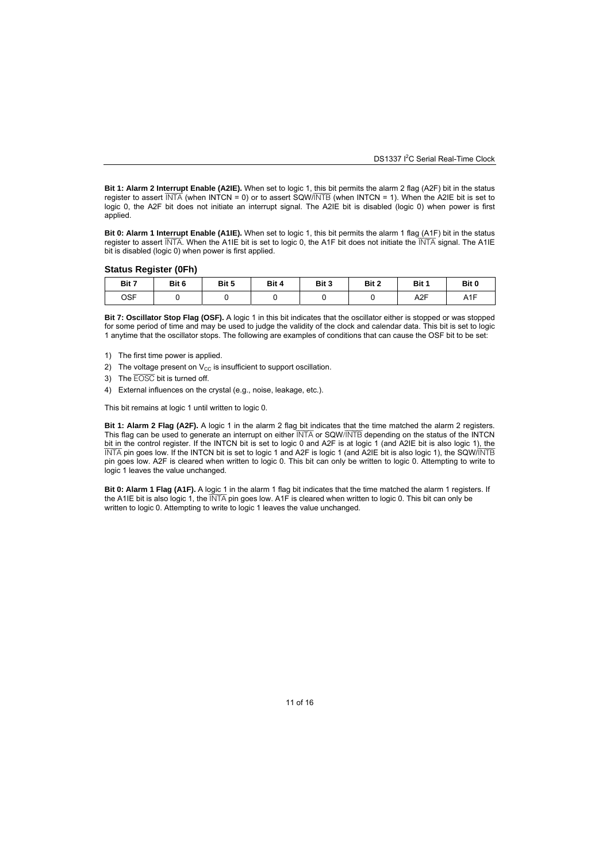**Bit 1: Alarm 2 Interrupt Enable (A2IE).** When set to logic 1, this bit permits the alarm 2 flag (A2F) bit in the status register to assert  $\overline{INTA}$  (when INTCN = 0) or to assert SQW/INTB (when INTCN = 1). When the A2IE bit is set to logic 0, the A2F bit does not initiate an interrupt signal. The A2IE bit is disabled (logic 0) when power is first applied.

**Bit 0: Alarm 1 Interrupt Enable (A1IE).** When set to logic 1, this bit permits the alarm 1 flag (A1F) bit in the status register to assert INTA. When the A1IE bit is set to logic 0, the A1F bit does not initiate the INTA signal. The A1IE bit is disabled (logic 0) when power is first applied.

#### **Status Register (0Fh)**

| Bit 7 | Bit 6 | Bit 5 | Bit 4 | Bit 3 | Bit 2 | Bit 1            | Bit 0            |
|-------|-------|-------|-------|-------|-------|------------------|------------------|
| OSF   |       |       |       |       |       | A <sub>2</sub> F | A <sub>1</sub> F |

**Bit 7: Oscillator Stop Flag (OSF).** A logic 1 in this bit indicates that the oscillator either is stopped or was stopped for some period of time and may be used to judge the validity of the clock and calendar data. This bit is set to logic 1 anytime that the oscillator stops. The following are examples of conditions that can cause the OSF bit to be set:

- 1) The first time power is applied.
- 2) The voltage present on  $V_{CC}$  is insufficient to support oscillation.
- 3) The EOSC bit is turned off.
- 4) External influences on the crystal (e.g., noise, leakage, etc.).

This bit remains at logic 1 until written to logic 0.

**Bit 1: Alarm 2 Flag (A2F).** A logic 1 in the alarm 2 flag bit indicates that the time matched the alarm 2 registers. This flag can be used to generate an interrupt on either  $\overline{\text{INTA}}$  or SQW/INTB depending on the status of the INTCN bit in the control register. If the INTCN bit is set to logic 0 and A2F is at logic 1 (and A2IE bit is also logic 1), the INTA pin goes low. If the INTCN bit is set to logic 1 and A2F is logic 1 (and A2IE bit is also logic 1), the SQW/INTB pin goes low. A2F is cleared when written to logic 0. This bit can only be written to logic 0. Attempting to write to logic 1 leaves the value unchanged.

**Bit 0: Alarm 1 Flag (A1F).** A logic 1 in the alarm 1 flag bit indicates that the time matched the alarm 1 registers. If the A1IE bit is also logic 1, the INTA pin goes low. A1F is cleared when written to logic 0. This bit can only be written to logic 0. Attempting to write to logic 1 leaves the value unchanged.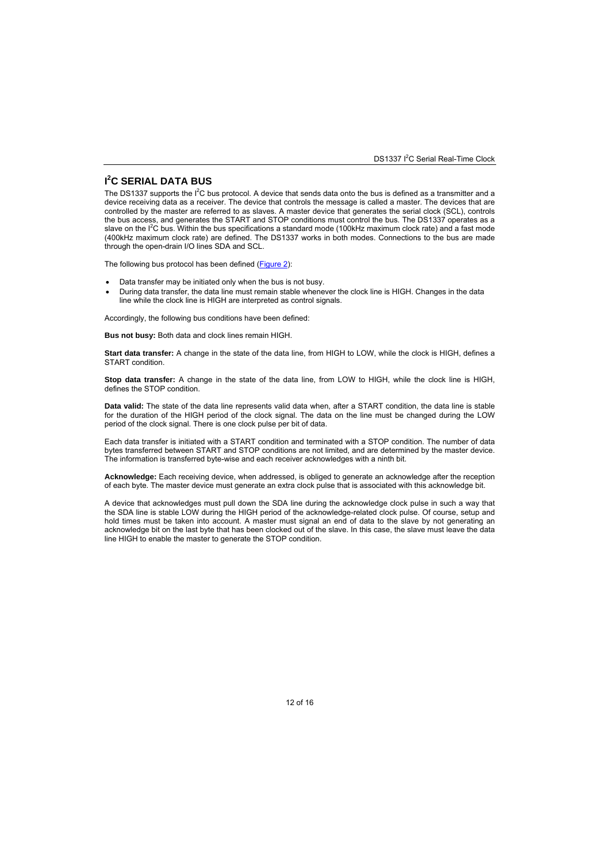### **I 2 C SERIAL DATA BUS**

The DS1337 supports the  $I^2C$  bus protocol. A device that sends data onto the bus is defined as a transmitter and a device receiving data as a receiver. The device that controls the message is called a master. The devices that are controlled by the master are referred to as slaves. A master device that generates the serial clock (SCL), controls the bus access, and generates the START and STOP conditions must control the bus. The DS1337 operates as a slave on the I<sup>2</sup>C bus. Within the bus specifications a standard mode (100kHz maximum clock rate) and a fast mode (400kHz maximum clock rate) are defined. The DS1337 works in both modes. Connections to the bus are made through the open-drain I/O lines SDA and SCL.

The following bus protocol has been defined (Figure 2):

- Data transfer may be initiated only when the bus is not busy.
- During data transfer, the data line must remain stable whenever the clock line is HIGH. Changes in the data line while the clock line is HIGH are interpreted as control signals.

Accordingly, the following bus conditions have been defined:

**Bus not busy:** Both data and clock lines remain HIGH.

**Start data transfer:** A change in the state of the data line, from HIGH to LOW, while the clock is HIGH, defines a START condition.

**Stop data transfer:** A change in the state of the data line, from LOW to HIGH, while the clock line is HIGH, defines the STOP condition.

**Data valid:** The state of the data line represents valid data when, after a START condition, the data line is stable for the duration of the HIGH period of the clock signal. The data on the line must be changed during the LOW period of the clock signal. There is one clock pulse per bit of data.

Each data transfer is initiated with a START condition and terminated with a STOP condition. The number of data bytes transferred between START and STOP conditions are not limited, and are determined by the master device. The information is transferred byte-wise and each receiver acknowledges with a ninth bit.

**Acknowledge:** Each receiving device, when addressed, is obliged to generate an acknowledge after the reception of each byte. The master device must generate an extra clock pulse that is associated with this acknowledge bit.

A device that acknowledges must pull down the SDA line during the acknowledge clock pulse in such a way that the SDA line is stable LOW during the HIGH period of the acknowledge-related clock pulse. Of course, setup and hold times must be taken into account. A master must signal an end of data to the slave by not generating an acknowledge bit on the last byte that has been clocked out of the slave. In this case, the slave must leave the data line HIGH to enable the master to generate the STOP condition.

12 of 16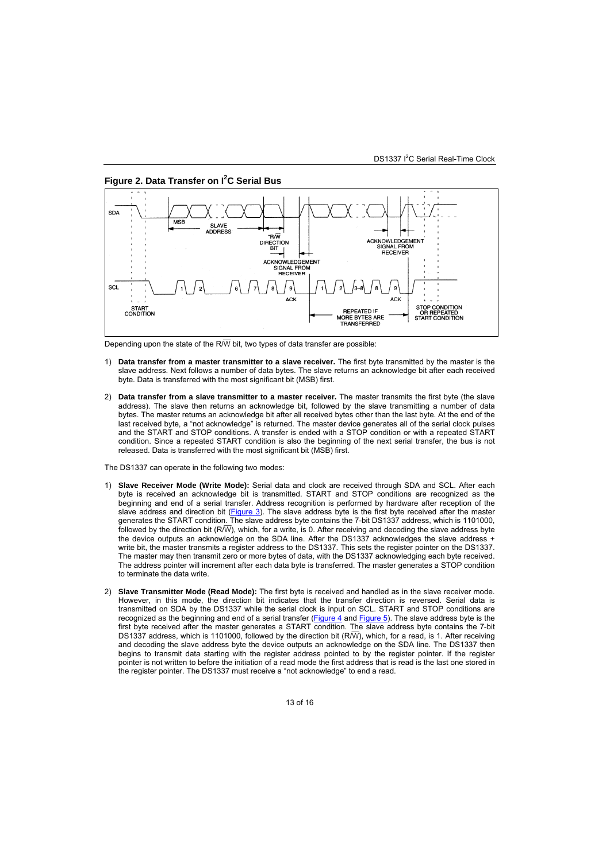

**Figure 2. Data Transfer on I<sup>2</sup> C Serial Bus** 

Depending upon the state of the R $\overline{\text{W}}$  bit, two types of data transfer are possible:

- 1) **Data transfer from a master transmitter to a slave receiver.** The first byte transmitted by the master is the slave address. Next follows a number of data bytes. The slave returns an acknowledge bit after each received byte. Data is transferred with the most significant bit (MSB) first.
- 2) **Data transfer from a slave transmitter to a master receiver.** The master transmits the first byte (the slave address). The slave then returns an acknowledge bit, followed by the slave transmitting a number of data bytes. The master returns an acknowledge bit after all received bytes other than the last byte. At the end of the last received byte, a "not acknowledge" is returned. The master device generates all of the serial clock pulses and the START and STOP conditions. A transfer is ended with a STOP condition or with a repeated START condition. Since a repeated START condition is also the beginning of the next serial transfer, the bus is not released. Data is transferred with the most significant bit (MSB) first.

The DS1337 can operate in the following two modes:

- 1) **Slave Receiver Mode (Write Mode):** Serial data and clock are received through SDA and SCL. After each byte is received an acknowledge bit is transmitted. START and STOP conditions are recognized as the beginning and end of a serial transfer. Address recognition is performed by hardware after reception of the slave address and direction bit (Figure 3). The slave address byte is the first byte received after the master generates the START condition. The slave address byte contains the 7-bit DS1337 address, which is 1101000, followed by the direction bit ( $R/\overline{W}$ ), which, for a write, is 0. After receiving and decoding the slave address byte the device outputs an acknowledge on the SDA line. After the DS1337 acknowledges the slave address + write bit, the master transmits a register address to the DS1337. This sets the register pointer on the DS1337. The master may then transmit zero or more bytes of data, with the DS1337 acknowledging each byte received. The address pointer will increment after each data byte is transferred. The master generates a STOP condition to terminate the data write.
- 2) **Slave Transmitter Mode (Read Mode):** The first byte is received and handled as in the slave receiver mode. However, in this mode, the direction bit indicates that the transfer direction is reversed. Serial data is transmitted on SDA by the DS1337 while the serial clock is input on SCL. START and STOP conditions are recognized as the beginning and end of a serial transfer (Figure 4 and Figure 5). The slave address byte is the first byte received after the master generates a START condition. The slave address byte contains the 7-bit DS1337 address, which is 1101000, followed by the direction bit (R $\overline{W}$ ), which, for a read, is 1. After receiving and decoding the slave address byte the device outputs an acknowledge on the SDA line. The DS1337 then begins to transmit data starting with the register address pointed to by the register pointer. If the register pointer is not written to before the initiation of a read mode the first address that is read is the last one stored in the register pointer. The DS1337 must receive a "not acknowledge" to end a read.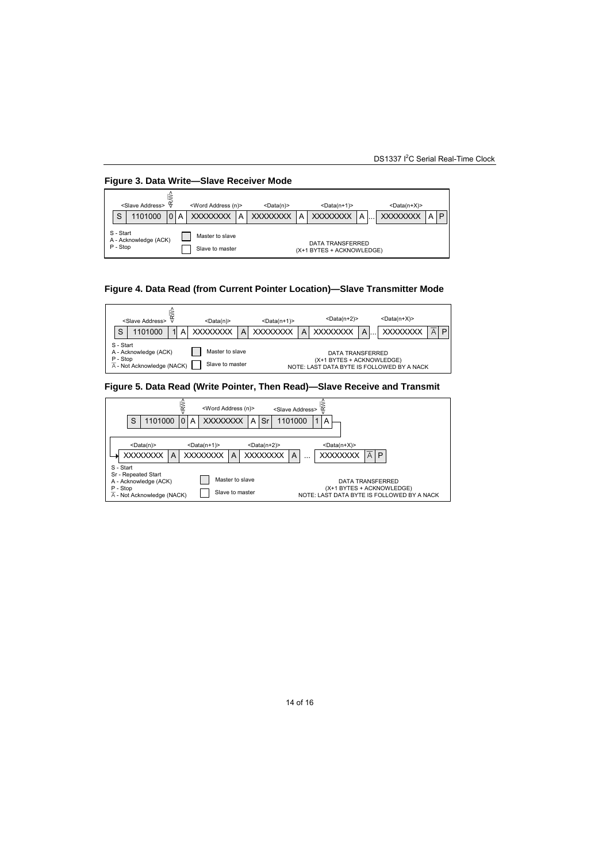

### **Figure 4. Data Read (from Current Pointer Location)—Slave Transmitter Mode**



### **Figure 5. Data Read (Write Pointer, Then Read)—Slave Receive and Transmit**

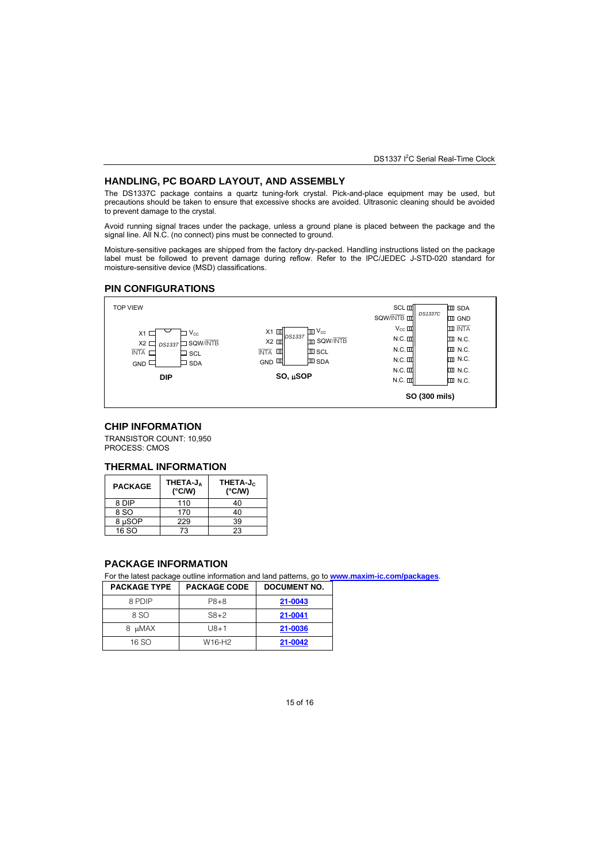DS1337 I<sup>2</sup>C Serial Real-Time Clock

#### **HANDLING, PC BOARD LAYOUT, AND ASSEMBLY**

The DS1337C package contains a quartz tuning-fork crystal. Pick-and-place equipment may be used, but precautions should be taken to ensure that excessive shocks are avoided. Ultrasonic cleaning should be avoided to prevent damage to the crystal.

Avoid running signal traces under the package, unless a ground plane is placed between the package and the signal line. All N.C. (no connect) pins must be connected to ground.

Moisture-sensitive packages are shipped from the factory dry-packed. Handling instructions listed on the package label must be followed to prevent damage during reflow. Refer to the IPC/JEDEC J-STD-020 standard for moisture-sensitive device (MSD) classifications.

### **PIN CONFIGURATIONS**



### **CHIP INFORMATION**

TRANSISTOR COUNT: 10,950 PROCESS: CMOS

#### **THERMAL INFORMATION**

| <b>PACKAGE</b> | THETA-JA<br>$(^{\circ}$ C/W) | THETA-J <sub>C</sub><br>$(^{\circ}$ C/W) |
|----------------|------------------------------|------------------------------------------|
| 8 DIP          | 110                          | 40                                       |
| 8 SO           | 170                          | 40                                       |
| 8 µSOP         | 229                          | 39                                       |
| 16 SO          | 73                           | 23                                       |

### **PACKAGE INFORMATION**

For the latest package outline information and land patterns, go to **www.maxim-ic.com/packages**.

| <b>PACKAGE TYPE</b> | <b>PACKAGE CODE</b> | DOCUMENT NO. |  |  |
|---------------------|---------------------|--------------|--|--|
| 8 PDIP              | P8+8                | 21-0043      |  |  |
| 8 SO                | $S8+2$              | 21-0041      |  |  |

| 8 SO   | $S8+2$ | 21-0041 |
|--------|--------|---------|
| 8 µMAX | $U8+1$ | 21-0036 |
| 16 SO  | W16-H2 | 21-0042 |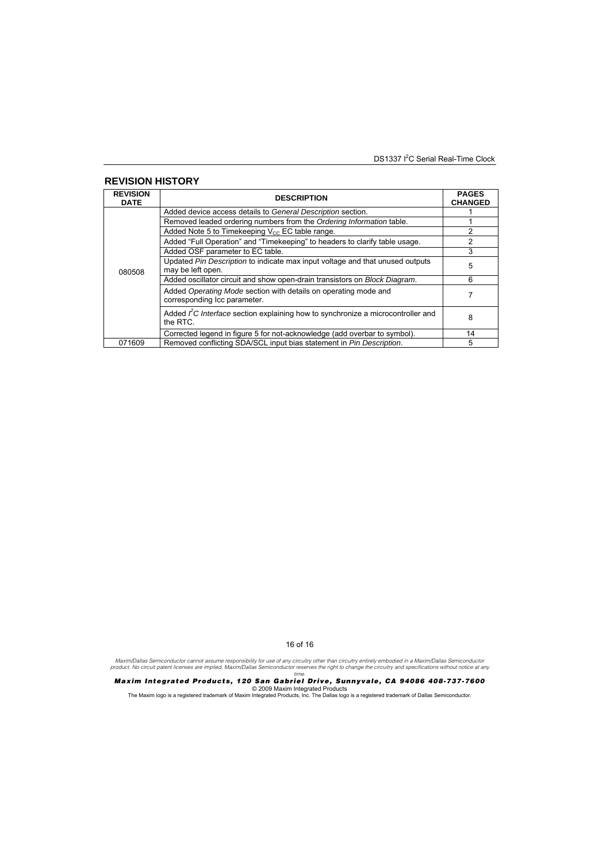DS1337 I<sup>2</sup>C Serial Real-Time Clock

#### **REVISION HISTORY REVISION DATE DESCRIPTION PAGES CHANGED**  Added device access details to *General Description* section.<br>
Removed leaded ordering numbers from the *Ordering Information* table. Removed leaded ordering numbers from the *Ordering Information* table.<br>Added Note 5 to Timekeeping V<sub>oc</sub> FC table range 2 Added Note 5 to Timekeeping  $V_{CC}$  EC table range.<br>Added "Full Operation" and "Timekeeping" to headers to clarify table usage. 2 Added "Full Operation" and "Timekeeping" to headers to clarify table usage Added OSF parameter to EC table. 3 Updated *Pin Description* to indicate max input voltage and that unused outputs <br>may be left open. Added oscillator circuit and show open-drain transistors on *Block Diagram*. 6 Added *Operating Mode* section with details on operating mode and Added *Operating Mode* section with details on operating mode and<br>corresponding Icc parameter. Added *i*<sup>2</sup>C *Interface* section explaining how to synchronize a microcontroller and <br>the RTC. 080508 Corrected legend in figure 5 for not-acknowledge (add overbar to symbol). 14 071609 Removed conflicting SDA/SCL input bias statement in *Pin Description*.

16 of 16

Maxim/Dallas Semiconductor cannot assume responsibility for use of any circuitry other than circuitry entirely embodied in a Maxim/Dallas Semiconductor<br>product. No circuit patent licenses are implied. Maxim/Dallas Semicond *time.* 

*Maxim Integrated Products, 120 San Gabriel Drive, Sunnyvale, CA 94086 408-737-7600*  © 2009 Maxim Integrated Products The Maxim logo is a registered trademark of Maxim Integrated Products, Inc. The Dallas logo is a registered trademark of Dallas Semiconductor.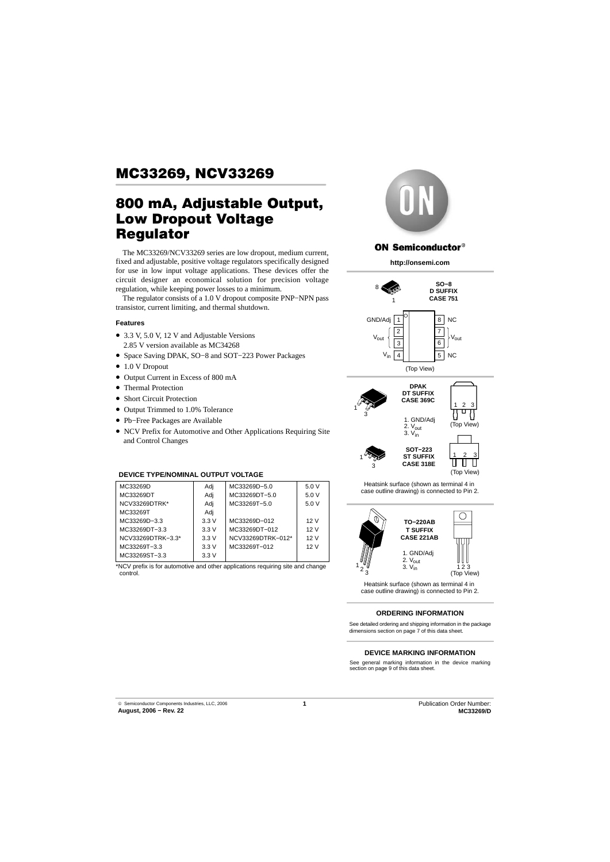# 800 mA, Adjustable Output, Low Dropout Voltage Regulator

The MC33269/NCV33269 series are low dropout, medium current, fixed and adjustable, positive voltage regulators specifically designed for use in low input voltage applications. These devices offer the circuit designer an economical solution for precision voltage regulation, while keeping power losses to a minimum.

The regulator consists of a 1.0 V dropout composite PNP−NPN pass transistor, current limiting, and thermal shutdown.

#### **Features**

- 3.3 V, 5.0 V, 12 V and Adjustable Versions
- 2.85 V version available as MC34268
- Space Saving DPAK, SO−8 and SOT−223 Power Packages
- 1.0 V Dropout
- Output Current in Excess of 800 mA
- Thermal Protection
- Short Circuit Protection
- Output Trimmed to 1.0% Tolerance
- Pb−Free Packages are Available
- NCV Prefix for Automotive and Other Applications Requiring Site and Control Changes

### **DEVICE TYPE/NOMINAL OUTPUT VOLTAGE**

| MC33269D          | Adj  | MC33269D-5.0      | 5.0V |
|-------------------|------|-------------------|------|
| MC33269DT         | Adi  | MC33269DT-5.0     | 5.0V |
| NCV33269DTRK*     | Adj  | MC33269T-5.0      | 5.0V |
| MC33269T          | Adi  |                   |      |
| MC33269D-3.3      | 3.3V | MC33269D-012      | 12V  |
| MC33269DT-3.3     | 3.3V | MC33269DT-012     | 12V  |
| NCV33269DTRK-3.3* | 3.3V | NCV33269DTRK-012* | 12V  |
| MC33269T-3.3      | 3.3V | MC33269T-012      | 12V  |
| MC33269ST-3.3     | 3.3V |                   |      |
|                   |      |                   |      |

\*NCV prefix is for automotive and other applications requiring site and change control.



#### **ON Semiconductor®**

**http://onsemi.com**





Heatsink surface (shown as terminal 4 in case outline drawing) is connected to Pin 2.



Heatsink surface (shown as terminal 4 in case outline drawing) is connected to Pin 2.

#### **ORDERING INFORMATION**

See detailed ordering and shipping information in the package dimensions section on page 7 of this data sheet.

#### **DEVICE MARKING INFORMATION**

See general marking information in the device marking section on page 9 of this data sheet.

**1** Publication Order Number: **MC33269/D**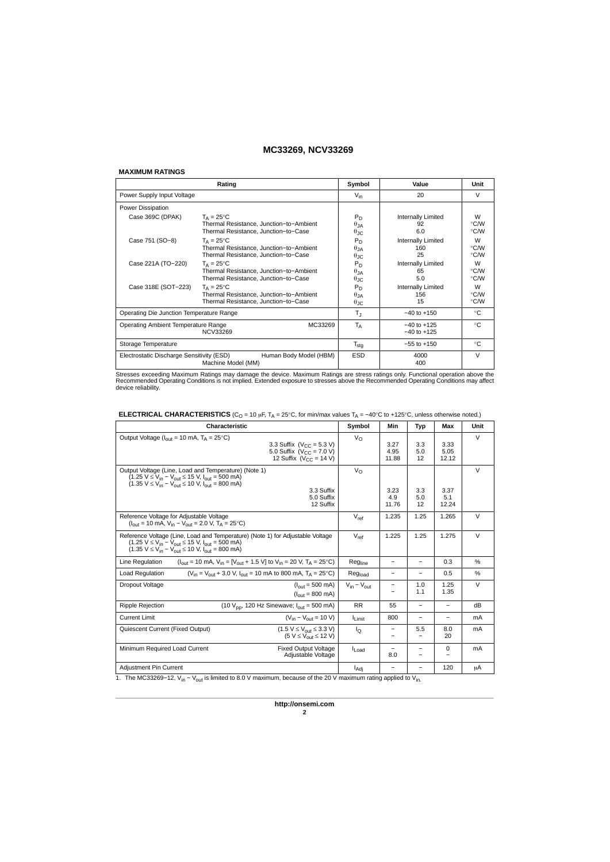#### **MAXIMUM RATINGS**

|                                           | Rating                                  | Symbol                | Value              | Unit   |
|-------------------------------------------|-----------------------------------------|-----------------------|--------------------|--------|
| Power Supply Input Voltage                |                                         | $V_{in}$              | 20                 | $\vee$ |
| Power Dissipation                         |                                         |                       |                    |        |
| Case 369C (DPAK)                          | $T_A = 25^{\circ}C$                     | P <sub>D</sub>        | Internally Limited | W      |
|                                           | Thermal Resistance, Junction-to-Ambient | $\theta_{JA}$         | 92                 | °C/W   |
|                                           | Thermal Resistance, Junction-to-Case    | $\theta_{\text{JC}}$  | 6.0                | °C/W   |
| Case 751 (SO-8)                           | $T_A = 25^{\circ}C$                     | P <sub>D</sub>        | Internally Limited | W      |
|                                           | Thermal Resistance, Junction-to-Ambient | $\theta_{JA}$         | 160                | °C/W   |
|                                           | Thermal Resistance, Junction-to-Case    | $\theta_{\text{JIC}}$ | 25                 | °C/W   |
| Case 221A (TO-220)                        | $T_A = 25^{\circ}C$                     | P <sub>D</sub>        | Internally Limited | W      |
|                                           | Thermal Resistance, Junction-to-Ambient | $\theta$ JA           | 65                 | °C/W   |
|                                           | Thermal Resistance, Junction-to-Case    | $\theta_{\text{JC}}$  | 5.0                | °C/W   |
| Case 318E (SOT-223)                       | $T_{\Delta} = 25^{\circ}C$              | $P_D$                 | Internally Limited | W      |
|                                           | Thermal Resistance, Junction-to-Ambient | $\theta$ JA           | 156                | °C/W   |
|                                           | Thermal Resistance, Junction-to-Case    | $\theta_{\text{JC}}$  | 15                 | °C/W   |
| Operating Die Junction Temperature Range  |                                         | $T_{\rm J}$           | $-40$ to $+150$    | °C     |
| Operating Ambient Temperature Range       | MC33269                                 | $T_A$                 | $-40$ to $+125$    | ℃      |
|                                           | NCV33269                                |                       | $-40$ to $+125$    |        |
| Storage Temperature                       |                                         | $T_{\text{stq}}$      | $-55$ to $+150$    | °C     |
| Electrostatic Discharge Sensitivity (ESD) | Human Body Model (HBM)                  | <b>ESD</b>            | 4000               | $\vee$ |
|                                           | Machine Model (MM)                      |                       | 400                |        |

Stresses exceeding Maximum Ratings may damage the device. Maximum Ratings are stress ratings only. Functional operation above the<br>Recommended Operating Conditions is not implied. Extended exposure to stresses above the Rec

|  |  | <b>ELECTRICAL CHARACTERISTICS</b> (C <sub>O</sub> = 10 µF, $T_A$ = 25°C, for min/max values $T_A$ = -40°C to +125°C, unless otherwise noted.) |
|--|--|-----------------------------------------------------------------------------------------------------------------------------------------------|
|--|--|-----------------------------------------------------------------------------------------------------------------------------------------------|

| Characteristic                                                                                                                                                                                                                                                            | Symbol              | Min                      | Typ                             | Max                      | Unit   |
|---------------------------------------------------------------------------------------------------------------------------------------------------------------------------------------------------------------------------------------------------------------------------|---------------------|--------------------------|---------------------------------|--------------------------|--------|
| Output Voltage ( $I_{\text{out}}$ = 10 mA, $T_A$ = 25°C)<br>3.3 Suffix ( $V_{CC} = 5.3 V$ )<br>5.0 Suffix ( $V_{CC}$ = 7.0 V)<br>12 Suffix ( $V_{CC}$ = 14 V)                                                                                                             | $V_{\Omega}$        | 3.27<br>4.95<br>11.88    | 3.3<br>5.0<br>12                | 3.33<br>5.05<br>12.12    | $\vee$ |
| Output Voltage (Line, Load and Temperature) (Note 1)<br>$(1.25 \text{ V} \le V_{in} - V_{out} \le 15 \text{ V}, I_{out} = 500 \text{ mA})$<br>$(1.35 \text{ V} \le V_{in} - V_{out} \le 10 \text{ V}, I_{out} = 800 \text{ mA})$<br>3.3 Suffix<br>5.0 Suffix<br>12 Suffix | $V_{\rm O}$         | 3.23<br>4.9<br>11.76     | 3.3<br>5.0<br>12                | 3.37<br>5.1<br>12.24     | V      |
| Reference Voltage for Adjustable Voltage<br>$(I_{\text{out}} = 10 \text{ mA}, V_{\text{in}} - V_{\text{out}} = 2.0 \text{ V}, T_A = 25^{\circ}\text{C}$                                                                                                                   | $V_{ref}$           | 1.235                    | 1.25                            | 1.265                    | $\vee$ |
| Reference Voltage (Line, Load and Temperature) (Note 1) for Adjustable Voltage<br>$(1.25 \text{ V} \le V_{in} - V_{out} \le 15 \text{ V}, I_{out} = 500 \text{ mA})$<br>$(1.35 V \le V_{in} - V_{out} \le 10 V, I_{out} = 800 mA)$                                        | $V_{ref}$           | 1.225                    | 1.25                            | 1.275                    | V      |
| Line Regulation<br>$(I_{\text{out}} = 10 \text{ mA}, V_{\text{in}} = [V_{\text{out}} + 1.5 \text{ V}]$ to $V_{\text{in}} = 20 \text{ V}, T_{\text{A}} = 25^{\circ}\text{C}$                                                                                               | Regline             | $\overline{\phantom{m}}$ | $\overline{\phantom{m}}$        | 0.3                      | %      |
| $(V_{in} = V_{out} + 3.0 V, I_{out} = 10 \text{ mA to } 800 \text{ mA}, T_A = 25^{\circ}\text{C}$<br>Load Regulation                                                                                                                                                      | Reg <sub>load</sub> | -                        | $\overline{\phantom{0}}$        | 0.5                      | %      |
| Dropout Voltage<br>$(l_{\text{out}} = 500 \text{ mA})$<br>$(l_{\text{out}} = 800 \text{ mA})$                                                                                                                                                                             | $V_{in} - V_{out}$  |                          | 1.0<br>1.1                      | 1.25<br>1.35             | $\vee$ |
| (10 $V_{\text{pp}}$ , 120 Hz Sinewave; $I_{\text{out}} = 500 \text{ mA}$ )<br><b>Ripple Rejection</b>                                                                                                                                                                     | <b>RR</b>           | 55                       | -                               |                          | dB     |
| <b>Current Limit</b><br>$(V_{in} - V_{out} = 10 V)$                                                                                                                                                                                                                       | Limit               | 800                      | $\overline{\phantom{m}}$        | $\overline{\phantom{0}}$ | mA     |
| $(1.5 V \le V_{\text{out}} \le 3.3 V)$<br>Quiescent Current (Fixed Output)<br>$(5 V \le V_{\text{out}} \le 12 V)$                                                                                                                                                         | lo                  | -                        | 5.5<br>$\overline{\phantom{0}}$ | 8.0<br>20                | mA     |
| <b>Fixed Output Voltage</b><br>Minimum Required Load Current<br>Adjustable Voltage                                                                                                                                                                                        | <b>I</b> Load       | 8.0                      |                                 | $\Omega$                 | mA     |
| Adjustment Pin Current                                                                                                                                                                                                                                                    | l <sub>Adi</sub>    |                          | $\overline{\phantom{0}}$        | 120                      | μA     |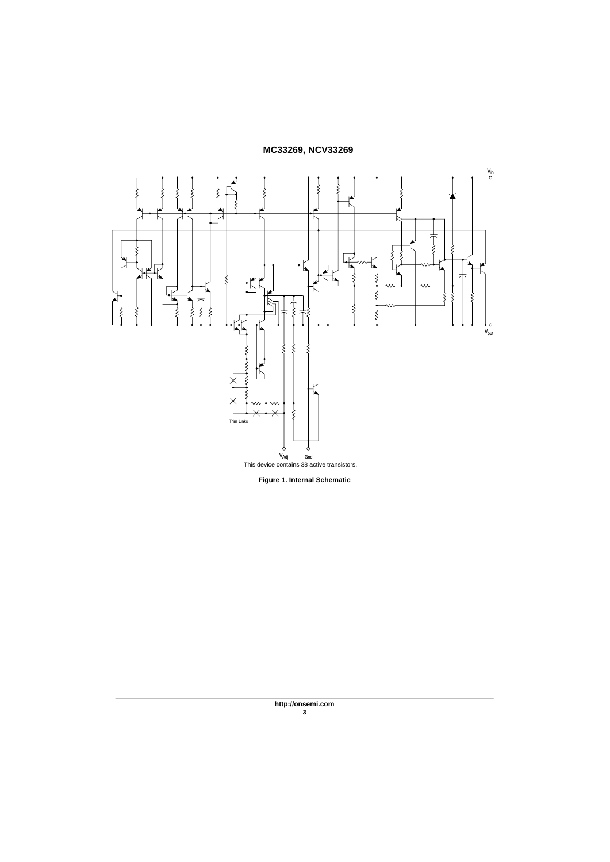

**Figure 1. Internal Schematic**

**http://onsemi.com 3**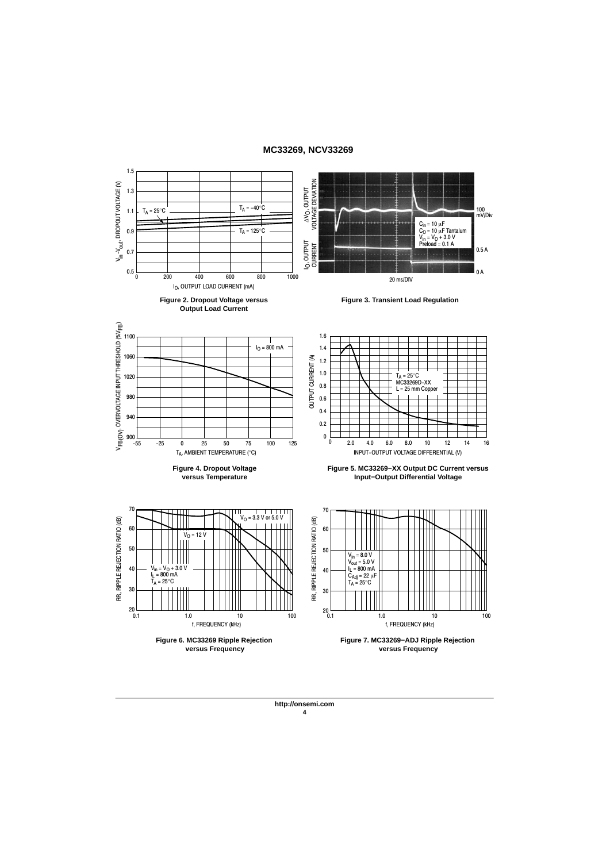

#### **http://onsemi.com 4**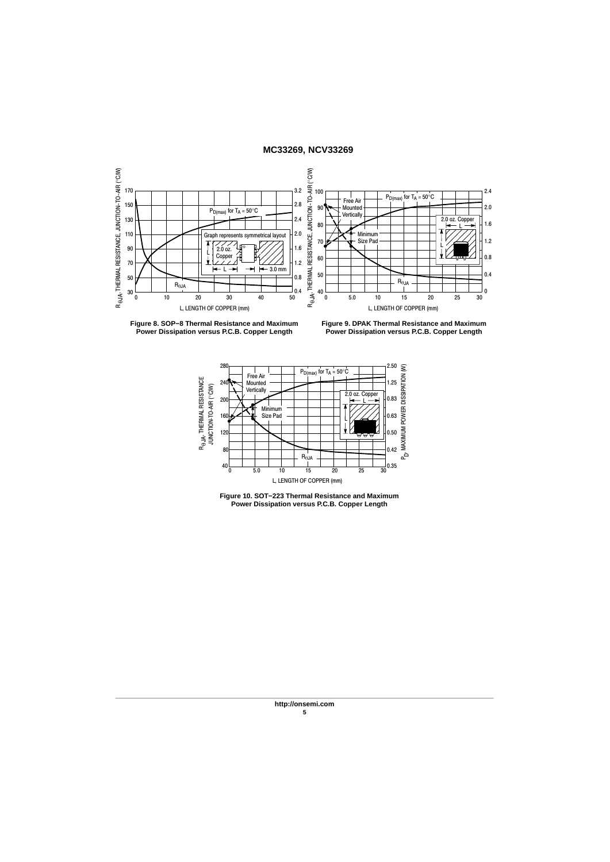



**Figure 9. DPAK Thermal Resistance and Maximum Power Dissipation versus P.C.B. Copper Length**





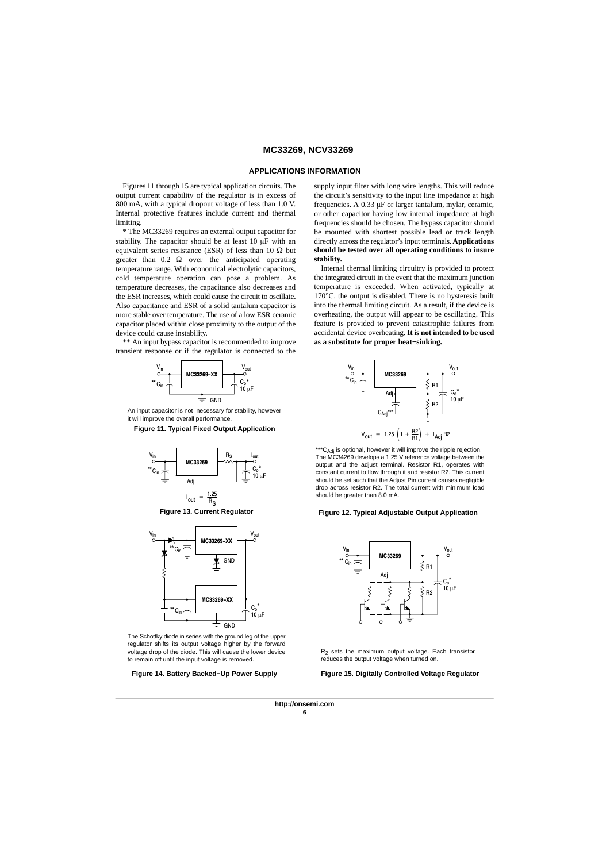#### **APPLICATIONS INFORMATION**

Figures 11 through 15 are typical application circuits. The output current capability of the regulator is in excess of 800 mA, with a typical dropout voltage of less than 1.0 V. Internal protective features include current and thermal limiting.

\* The MC33269 requires an external output capacitor for stability. The capacitor should be at least 10  $\mu$ F with an equivalent series resistance (ESR) of less than 10  $\Omega$  but greater than  $0.2 \Omega$  over the anticipated operating temperature range. With economical electrolytic capacitors, cold temperature operation can pose a problem. As temperature decreases, the capacitance also decreases and the ESR increases, which could cause the circuit to oscillate. Also capacitance and ESR of a solid tantalum capacitor is more stable over temperature. The use of a low ESR ceramic capacitor placed within close proximity to the output of the device could cause instability.

\*\* An input bypass capacitor is recommended to improve transient response or if the regulator is connected to the



An input capacitor is not necessary for stability, however it will improve the overall performance









The Schottky diode in series with the ground leg of the upper regulator shifts its output voltage higher by the forward voltage drop of the diode. This will cause the lower device to remain off until the input voltage is removed.

**Figure 14. Battery Backed−Up Power Supply**

supply input filter with long wire lengths. This will reduce the circuit's sensitivity to the input line impedance at high frequencies. A  $0.33 \mu$ F or larger tantalum, mylar, ceramic, or other capacitor having low internal impedance at high frequencies should be chosen. The bypass capacitor should be mounted with shortest possible lead or track length directly across the regulator's input terminals. **Applications should be tested over all operating conditions to insure stability.**

Internal thermal limiting circuitry is provided to protect the integrated circuit in the event that the maximum junction temperature is exceeded. When activated, typically at 170°C, the output is disabled. There is no hysteresis built into the thermal limiting circuit. As a result, if the device is overheating, the output will appear to be oscillating. This feature is provided to prevent catastrophic failures from accidental device overheating. **It is not intended to be used as a substitute for proper heat−sinking.**



\*\*\*C<sub>Adj</sub> is optional, however it will improve the ripple rejection.<br>The MC34269 develops a 1.25 V reference voltage between the output and the adjust terminal. Resistor R1, operates with constant current to flow through it and resistor R2. This current should be set such that the Adjust Pin current causes negligible drop across resistor R2. The total current with minimum load should be greater than 8.0 mA.

#### **Figure 12. Typical Adjustable Output Application**



 $R_2$  sets the maximum output voltage. Each transistor reduces the output voltage when turned on.

**Figure 15. Digitally Controlled Voltage Regulator**

**http://onsemi.com 6**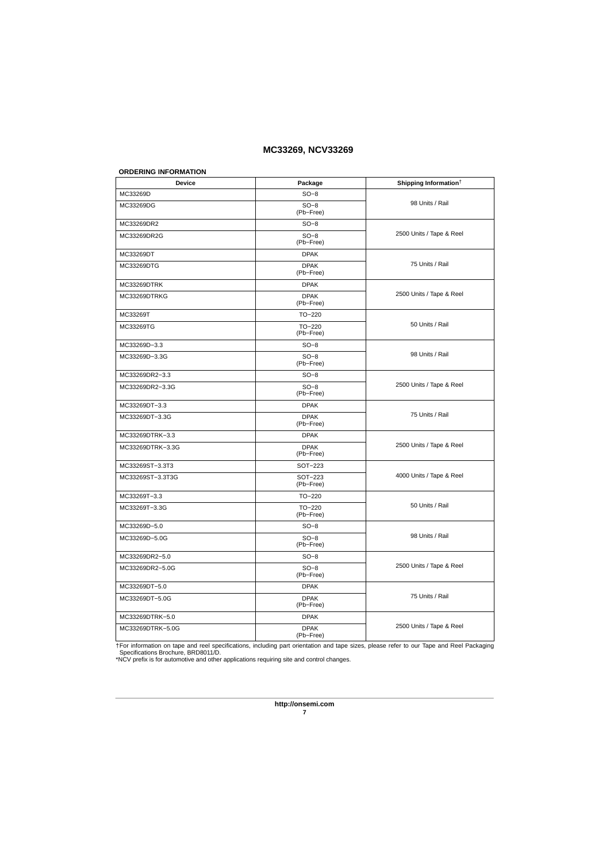### **ORDERING INFORMATION**

| Device           | Package                  | Shipping Information <sup>†</sup> |  |  |
|------------------|--------------------------|-----------------------------------|--|--|
| MC33269D         | $SO-8$                   |                                   |  |  |
| MC33269DG        | $SO-8$<br>(Pb-Free)      | 98 Units / Rail                   |  |  |
| MC33269DR2       | $SO-8$                   |                                   |  |  |
| MC33269DR2G      | $SO-8$<br>(Pb-Free)      | 2500 Units / Tape & Reel          |  |  |
| MC33269DT        | <b>DPAK</b>              |                                   |  |  |
| MC33269DTG       | <b>DPAK</b><br>(Pb-Free) | 75 Units / Rail                   |  |  |
| MC33269DTRK      | <b>DPAK</b>              |                                   |  |  |
| MC33269DTRKG     | <b>DPAK</b><br>(Pb-Free) | 2500 Units / Tape & Reel          |  |  |
| MC33269T         | TO-220                   |                                   |  |  |
| MC33269TG        | TO-220<br>(Pb-Free)      | 50 Units / Rail                   |  |  |
| MC33269D-3.3     | $SO-8$                   |                                   |  |  |
| MC33269D-3.3G    | $SO-8$<br>(Pb-Free)      | 98 Units / Rail                   |  |  |
| MC33269DR2-3.3   | $SO-8$                   |                                   |  |  |
| MC33269DR2-3.3G  | $SO-8$<br>(Pb-Free)      | 2500 Units / Tape & Reel          |  |  |
| MC33269DT-3.3    | <b>DPAK</b>              |                                   |  |  |
| MC33269DT-3.3G   | <b>DPAK</b><br>(Pb-Free) | 75 Units / Rail                   |  |  |
| MC33269DTRK-3.3  | <b>DPAK</b>              |                                   |  |  |
| MC33269DTRK-3.3G | <b>DPAK</b><br>(Pb-Free) | 2500 Units / Tape & Reel          |  |  |
| MC33269ST-3.3T3  | SOT-223                  |                                   |  |  |
| MC33269ST-3.3T3G | SOT-223<br>(Pb-Free)     | 4000 Units / Tape & Reel          |  |  |
| MC33269T-3.3     | $TO-220$                 |                                   |  |  |
| MC33269T-3.3G    | $TO-220$<br>(Pb-Free)    | 50 Units / Rail                   |  |  |
| MC33269D-5.0     | $SO-8$                   |                                   |  |  |
| MC33269D-5.0G    | $SO-8$<br>(Pb-Free)      | 98 Units / Rail                   |  |  |
| MC33269DR2-5.0   | $SO-8$                   |                                   |  |  |
| MC33269DR2-5.0G  | $SO-8$<br>(Pb-Free)      | 2500 Units / Tape & Reel          |  |  |
| MC33269DT-5.0    | <b>DPAK</b>              |                                   |  |  |
| MC33269DT-5.0G   | <b>DPAK</b><br>(Pb-Free) | 75 Units / Rail                   |  |  |
| MC33269DTRK-5.0  | <b>DPAK</b>              |                                   |  |  |
| MC33269DTRK-5.0G | <b>DPAK</b><br>(Pb-Free) | 2500 Units / Tape & Reel          |  |  |

†For information on tape and reel specifications, including part orientation and tape sizes, please refer to our Tape and Reel Packaging<br>- Specifications Brochure, BRD8011/D.<br>\*NCV prefix is for automotive and other applica

**http://onsemi.com 7**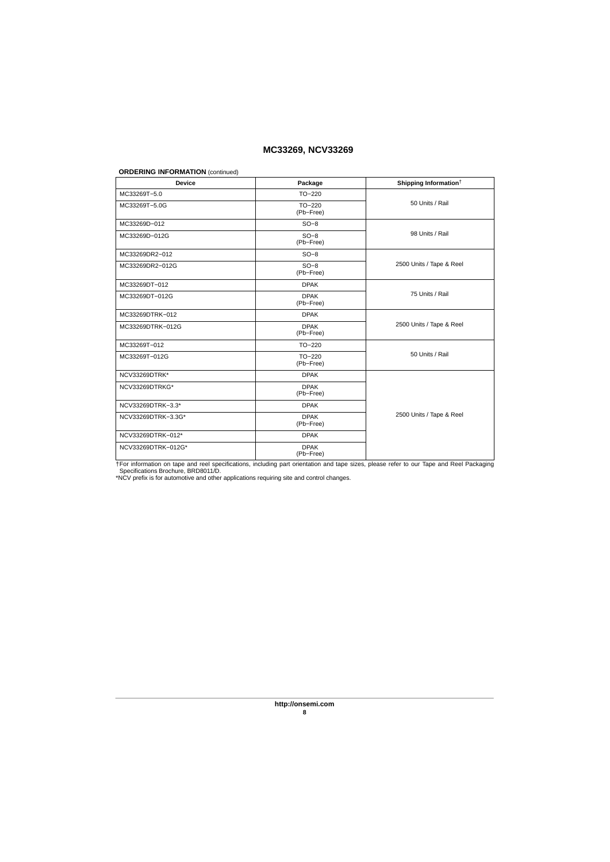#### **ORDERING INFORMATION** (continued)

| <b>Device</b>      | Package                  | Shipping Information <sup>†</sup> |  |  |
|--------------------|--------------------------|-----------------------------------|--|--|
| MC33269T-5.0       | $TO-220$                 |                                   |  |  |
| MC33269T-5.0G      | $TO-220$<br>(Pb-Free)    | 50 Units / Rail                   |  |  |
| MC33269D-012       | $SO-8$                   |                                   |  |  |
| MC33269D-012G      | $SO-8$<br>(Pb-Free)      | 98 Units / Rail                   |  |  |
| MC33269DR2-012     | $SO-8$                   |                                   |  |  |
| MC33269DR2-012G    | $SO-8$<br>(Pb-Free)      | 2500 Units / Tape & Reel          |  |  |
| MC33269DT-012      | <b>DPAK</b>              |                                   |  |  |
| MC33269DT-012G     | <b>DPAK</b><br>(Pb-Free) | 75 Units / Rail                   |  |  |
| MC33269DTRK-012    | <b>DPAK</b>              |                                   |  |  |
| MC33269DTRK-012G   | <b>DPAK</b><br>(Pb-Free) | 2500 Units / Tape & Reel          |  |  |
| MC33269T-012       | $TO-220$                 |                                   |  |  |
| MC33269T-012G      | $TO-220$<br>(Pb-Free)    | 50 Units / Rail                   |  |  |
| NCV33269DTRK*      | <b>DPAK</b>              |                                   |  |  |
| NCV33269DTRKG*     | <b>DPAK</b><br>(Pb-Free) |                                   |  |  |
| NCV33269DTRK-3.3*  | <b>DPAK</b>              |                                   |  |  |
| NCV33269DTRK-3.3G* | <b>DPAK</b><br>(Pb-Free) | 2500 Units / Tape & Reel          |  |  |
| NCV33269DTRK-012*  | <b>DPAK</b>              |                                   |  |  |
| NCV33269DTRK-012G* | <b>DPAK</b><br>(Pb-Free) |                                   |  |  |

†For information on tape and reel specifications, including part orientation and tape sizes, please refer to our Tape and Reel Packaging<br>- Specifications Brochure, BRD8011/D.<br>\*NCV prefix is for automotive and other applica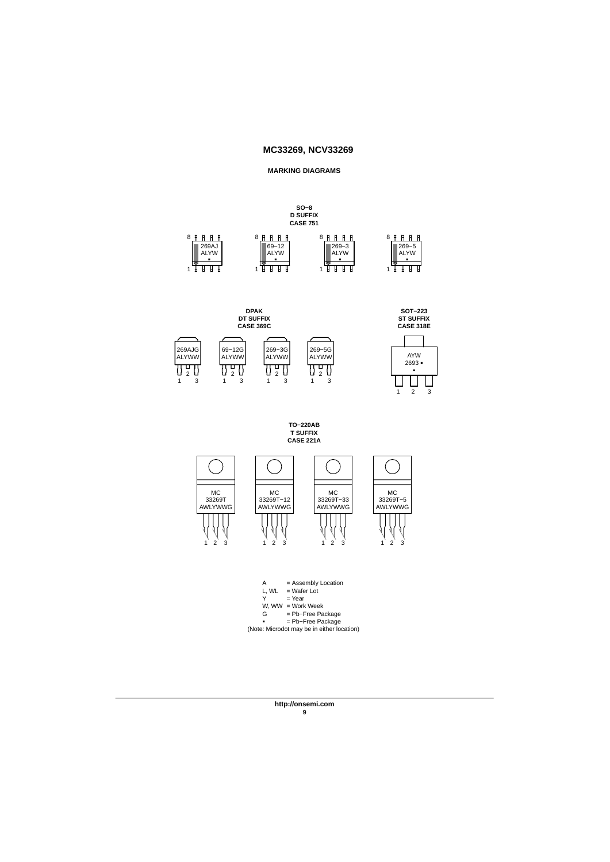#### **MARKING DIAGRAMS**





**TO−220AB T SUFFIX CASE 221A**



A = Assembly Location L, WL = Wafer Lot Y = Year W, WW = Work Week<br>G = Pb-Free Pa G = Pb−Free Package = Pb−Free Package -(Note: Microdot may be in either location)

> **http://onsemi.com 9**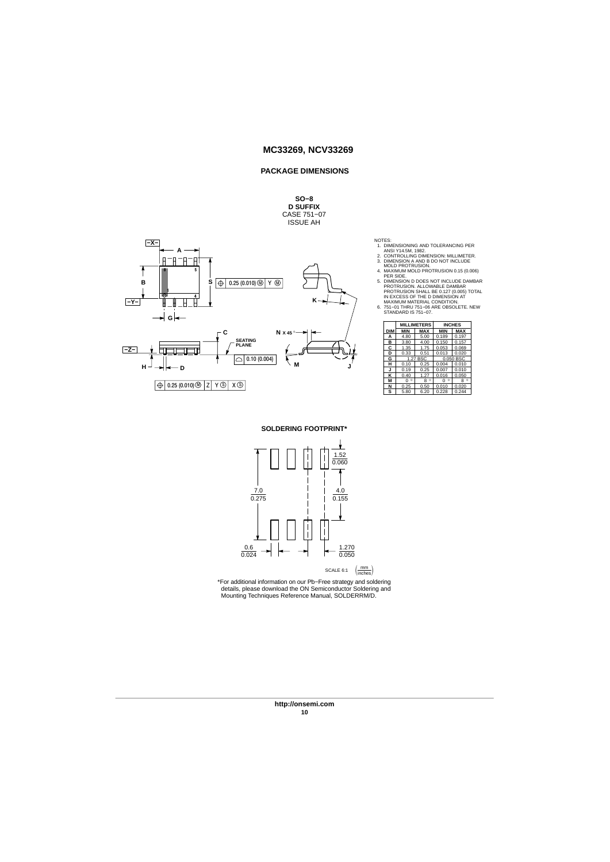#### **PACKAGE DIMENSIONS**

### **SO−8 D SUFFIX** CASE 751−07 ISSUE AH



- 
- 
- 
- NOTES:<br>
1. DIMENSIONING AND TOLERANCING PER<br>
1. DIMENSIONING AND TOLERANCING PER<br>
2. CONTROLLING DIMENSION: MILLIMETER.<br>
3. DIMENSION A AND B DO NOT INCLUDE<br>
4. MAXIMUM MOLD PROTRUSION.<br>
4. MAXIMUM MOLD PROTRUSION.<br>
5. DIM
- 

|            | <b>MILLIMETERS</b> |              | <b>INCHES</b> |              |  |
|------------|--------------------|--------------|---------------|--------------|--|
| <b>DIM</b> | <b>MIN</b>         | <b>MAX</b>   | <b>MIN</b>    | MAX          |  |
| А          | 4.80               | 5.00         | 0.189         | 0.197        |  |
| в          | 3.80               | 4.00         | 0.150         | 0.157        |  |
| c          | 1.35               | 1.75         | 0.053         | 0.069        |  |
| D          | 0.33               | 0.51         | 0.013         | 0.020        |  |
| G          |                    | 1.27 BSC     | 0.050 BSC     |              |  |
| н          | 0.10               | 0.25         | 0.004         | 0.010        |  |
| J          | 0.19               | 0.25         | 0.007         | 0.010        |  |
| κ          | 0.40               | 1.27         | 0.016         | 0.050        |  |
| М          | o<br>n             | $\circ$<br>8 | $\circ$<br>n  | $\circ$<br>8 |  |
| N          | 0.25               | 0.50         | 0.010         | 0.020        |  |
| S          | 5.80               | 6.20         | 0.228         | 0.244        |  |

**SOLDERING FOOTPRINT\***



SCALE 6:1  $\left(\frac{mm}{inches}\right)$ 

\*For additional information on our Pb−Free strategy and soldering details, please download the ON Semiconductor Soldering and Mounting Techniques Reference Manual, SOLDERRM/D.

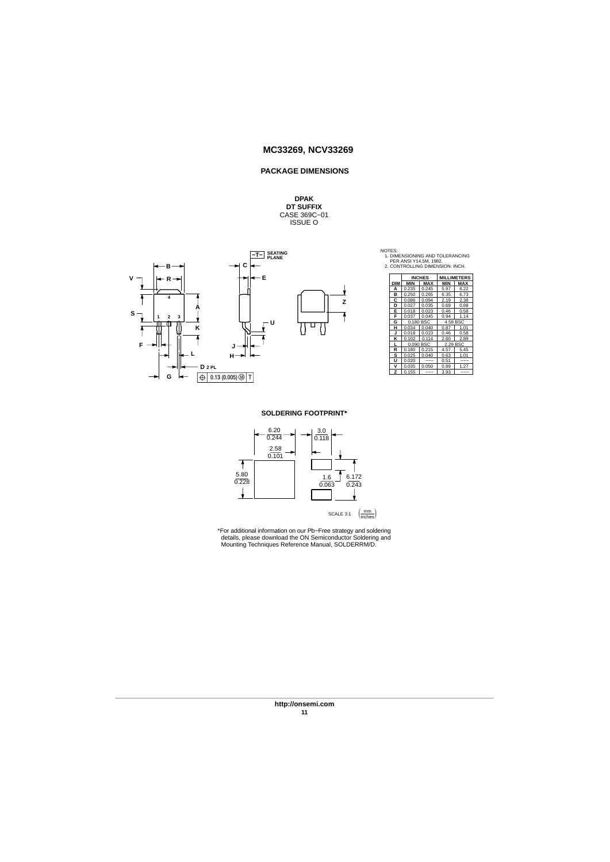### **PACKAGE DIMENSIONS**

# **DPAK<br>DT SUFFIX<br>CASE 369C−01<br>ISSUE O**



| NOTES:                          |
|---------------------------------|
| 1. DIMENSIONING AND TOLERANCING |
| PER ANSI Y14.5M, 1982.          |
| 2. CONTROLLING DIMENSION: INCH. |

|            |            | <b>INCHES</b> |            | <b>MILLIMETERS</b> |
|------------|------------|---------------|------------|--------------------|
| <b>DIM</b> | <b>MIN</b> | <b>MAX</b>    | <b>MIN</b> | <b>MAX</b>         |
| A          | 0.235      | 0.245         | 5.97       | 6.22               |
| в          | 0.250      | 0.265         | 6.35       | 6.73               |
| Ċ          | 0.086      | 0.094         | 2.19       | 2.38               |
| D          | 0.027      | 0.035         | 0.69       | 0.88               |
| E          | 0.018      | 0.023         | 0.46       | 0.58               |
| F          | 0.037      | 0.045         | 0.94       | 1.14               |
| G          | 0.180 BSC  |               | 4.58 BSC   |                    |
| н          | 0.034      | 0.040         | 0.87       | 1.01               |
| J          | 0.018      | 0.023         | 0.46       | 0.58               |
| ĸ          | 0.102      | 0.114         | 2.60       | 2.89               |
| L          | 0.090 BSC  |               | 2.29 BSC   |                    |
| R          | 0.180      | 0.215         | 4.57       | 5.45               |
| s          | 0.025      | 0.040         | 0.63       | 1.01               |
| u          | 0.020      |               | 0.51       |                    |
| v          | 0.035      | 0.050         | 0.89       | 1.27               |
| z          | 0.155      |               | 3.93       | ---                |

### **SOLDERING FOOTPRINT\***



\*For additional information on our Pb−Free strategy and soldering details, please download the ON Semiconductor Soldering and Mounting Techniques Reference Manual, SOLDERRM/D.

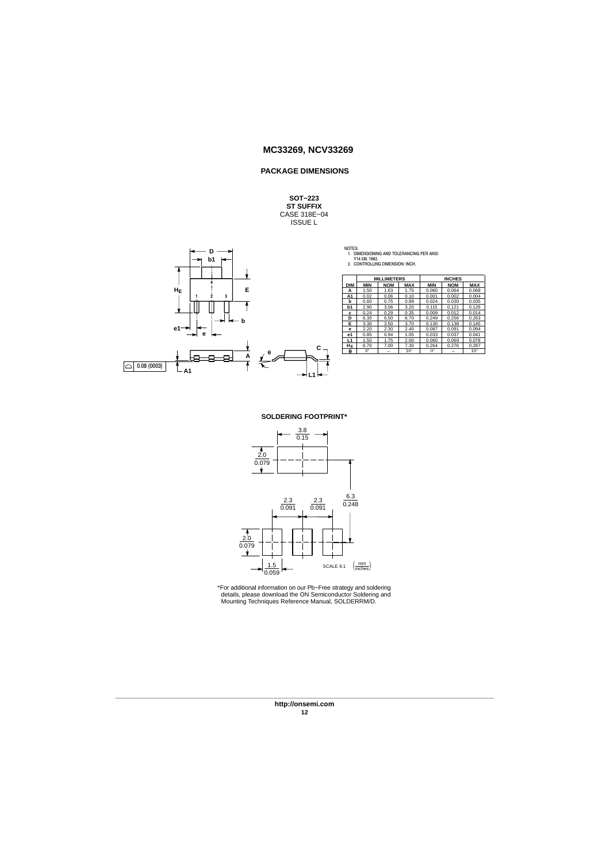### **PACKAGE DIMENSIONS**

**SOT−223 ST SUFFIX** CASE 318E−04 ISSUE L



|        | 141111112777700                                  | 11101170 |
|--------|--------------------------------------------------|----------|
|        |                                                  |          |
|        | Y14.5M, 1982.<br>2. CONTROLLING DIMENSION: INCH. |          |
|        |                                                  |          |
|        | 1. DIMENSIONING AND TOLERANCING PER ANSI         |          |
| NOTES: |                                                  |          |

|   |            | <b>MILLIMETERS</b> |            |              |             | <b>INCHES</b> |              |
|---|------------|--------------------|------------|--------------|-------------|---------------|--------------|
|   | <b>DIM</b> | <b>MIN</b>         | <b>NOM</b> | <b>MAX</b>   | <b>MIN</b>  | <b>NOM</b>    | <b>MAX</b>   |
|   | А          | 1.50               | 1.63       | 1.75         | 0.060       | 0.064         | 0.068        |
|   | A1         | 0.02               | 0.06       | 0.10         | 0.001       | 0.002         | 0.004        |
|   | b          | 0.60               | 0.75       | 0.89         | 0.024       | 0.030         | 0.035        |
|   | b1         | 2.90               | 3.06       | 3.20         | 0.115       | 0.121         | 0.126        |
|   | c          | 0.24               | 0.29       | 0.35         | 0.009       | 0.012         | 0.014        |
|   | D          | 6.30               | 6.50       | 6.70         | 0.249       | 0.256         | 0.263        |
|   | Е          | 3.30               | 3.50       | 3.70         | 0.130       | 0.138         | 0.145        |
|   | e          | 2.20               | 2.30       | 2.40         | 0.087       | 0.091         | 0.094        |
|   | е1         | 0.85               | 0.94       | 1.05         | 0.033       | 0.037         | 0.041        |
|   | L1         | 1.50               | 1.75       | 2.00         | 0.060       | 0.069         | 0.078        |
| c | HE         | 6.70               | 7.00       | 7.30         | 0.264       | 0.276         | 0.287        |
|   | A          | $0^\circ$          | -          | $10^{\circ}$ | $0^{\circ}$ | -             | $10^{\circ}$ |

#### **SOLDERING FOOTPRINT\***



\*For additional information on our Pb−Free strategy and soldering details, please download the ON Semiconductor Soldering and Mounting Techniques Reference Manual, SOLDERRM/D.

**http://onsemi.com 12**